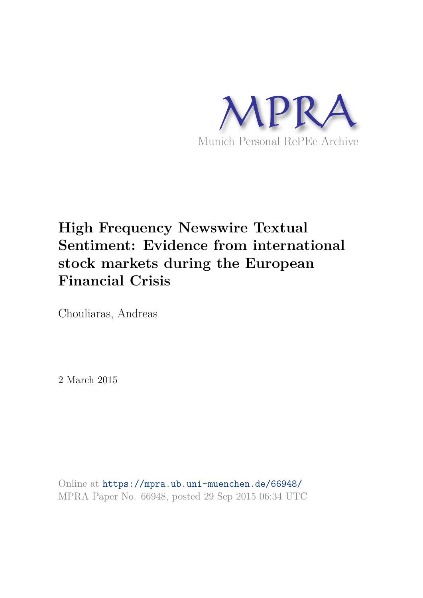

# **High Frequency Newswire Textual Sentiment: Evidence from international stock markets during the European Financial Crisis**

Chouliaras, Andreas

2 March 2015

Online at https://mpra.ub.uni-muenchen.de/66948/ MPRA Paper No. 66948, posted 29 Sep 2015 06:34 UTC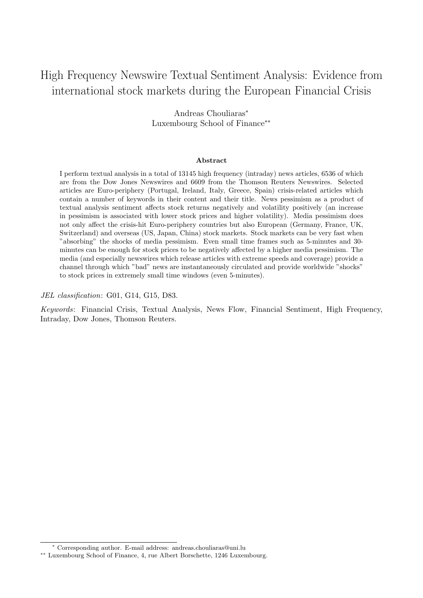## High Frequency Newswire Textual Sentiment Analysis: Evidence from international stock markets during the European Financial Crisis

Andreas Chouliaras<sup>∗</sup> Luxembourg School of Finance∗∗

#### Abstract

I perform textual analysis in a total of 13145 high frequency (intraday) news articles, 6536 of which are from the Dow Jones Newswires and 6609 from the Thomson Reuters Newswires. Selected articles are Euro-periphery (Portugal, Ireland, Italy, Greece, Spain) crisis-related articles which contain a number of keywords in their content and their title. News pessimism as a product of textual analysis sentiment affects stock returns negatively and volatility positively (an increase in pessimism is associated with lower stock prices and higher volatility). Media pessimism does not only affect the crisis-hit Euro-periphery countries but also European (Germany, France, UK, Switzerland) and overseas (US, Japan, China) stock markets. Stock markets can be very fast when "absorbing" the shocks of media pessimism. Even small time frames such as 5-minutes and 30 minutes can be enough for stock prices to be negatively affected by a higher media pessimism. The media (and especially newswires which release articles with extreme speeds and coverage) provide a channel through which "bad" news are instantaneously circulated and provide worldwide "shocks" to stock prices in extremely small time windows (even 5-minutes).

JEL classification: G01, G14, G15, D83.

Keywords: Financial Crisis, Textual Analysis, News Flow, Financial Sentiment, High Frequency, Intraday, Dow Jones, Thomson Reuters.

<sup>∗</sup> Corresponding author. E-mail address: andreas.chouliaras@uni.lu

<sup>∗∗</sup> Luxembourg School of Finance, 4, rue Albert Borschette, 1246 Luxembourg.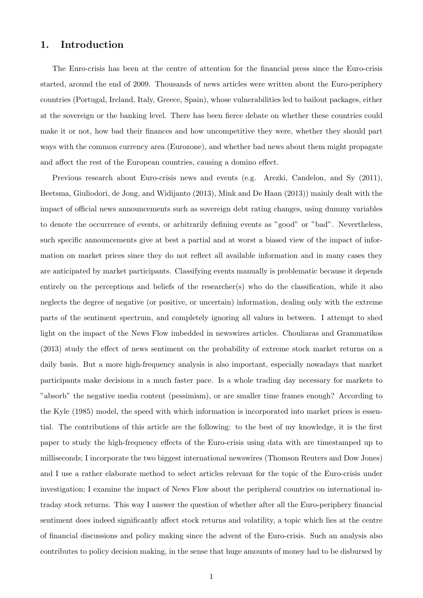## 1. Introduction

The Euro-crisis has been at the centre of attention for the financial press since the Euro-crisis started, around the end of 2009. Thousands of news articles were written about the Euro-periphery countries (Portugal, Ireland, Italy, Greece, Spain), whose vulnerabilities led to bailout packages, either at the sovereign or the banking level. There has been fierce debate on whether these countries could make it or not, how bad their finances and how uncompetitive they were, whether they should part ways with the common currency area (Eurozone), and whether bad news about them might propagate and affect the rest of the European countries, causing a domino effect.

Previous research about Euro-crisis news and events (e.g. Arezki, Candelon, and Sy (2011), Beetsma, Giuliodori, de Jong, and Widijanto (2013), Mink and De Haan (2013)) mainly dealt with the impact of official news announcements such as sovereign debt rating changes, using dummy variables to denote the occurrence of events, or arbitrarily defining events as "good" or "bad". Nevertheless, such specific announcements give at best a partial and at worst a biased view of the impact of information on market prices since they do not reflect all available information and in many cases they are anticipated by market participants. Classifying events manually is problematic because it depends entirely on the perceptions and beliefs of the researcher(s) who do the classification, while it also neglects the degree of negative (or positive, or uncertain) information, dealing only with the extreme parts of the sentiment spectrum, and completely ignoring all values in between. I attempt to shed light on the impact of the News Flow imbedded in newswires articles. Chouliaras and Grammatikos (2013) study the effect of news sentiment on the probability of extreme stock market returns on a daily basis. But a more high-frequency analysis is also important, especially nowadays that market participants make decisions in a much faster pace. Is a whole trading day necessary for markets to "absorb" the negative media content (pessimism), or are smaller time frames enough? According to the Kyle (1985) model, the speed with which information is incorporated into market prices is essential. The contributions of this article are the following: to the best of my knowledge, it is the first paper to study the high-frequency effects of the Euro-crisis using data with are timestamped up to milliseconds; I incorporate the two biggest international newswires (Thomson Reuters and Dow Jones) and I use a rather elaborate method to select articles relevant for the topic of the Euro-crisis under investigation; I examine the impact of News Flow about the peripheral countries on international intraday stock returns. This way I answer the question of whether after all the Euro-periphery financial sentiment does indeed significantly affect stock returns and volatility, a topic which lies at the centre of financial discussions and policy making since the advent of the Euro-crisis. Such an analysis also contributes to policy decision making, in the sense that huge amounts of money had to be disbursed by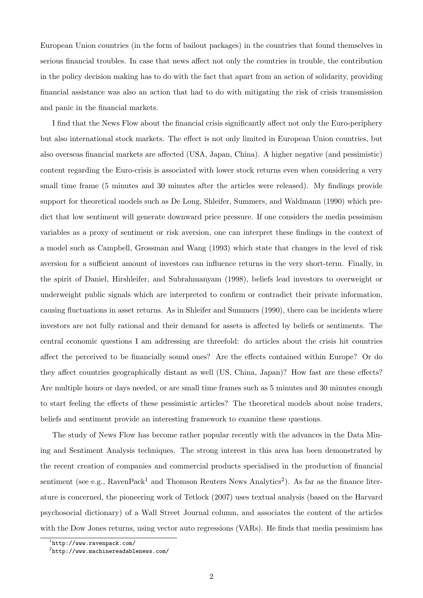European Union countries (in the form of bailout packages) in the countries that found themselves in serious financial troubles. In case that news affect not only the countries in trouble, the contribution in the policy decision making has to do with the fact that apart from an action of solidarity, providing financial assistance was also an action that had to do with mitigating the risk of crisis transmission and panic in the financial markets.

I find that the News Flow about the financial crisis significantly affect not only the Euro-periphery but also international stock markets. The effect is not only limited in European Union countries, but also overseas financial markets are affected (USA, Japan, China). A higher negative (and pessimistic) content regarding the Euro-crisis is associated with lower stock returns even when considering a very small time frame (5 minutes and 30 minutes after the articles were released). My findings provide support for theoretical models such as De Long, Shleifer, Summers, and Waldmann (1990) which predict that low sentiment will generate downward price pressure. If one considers the media pessimism variables as a proxy of sentiment or risk aversion, one can interpret these findings in the context of a model such as Campbell, Grossman and Wang (1993) which state that changes in the level of risk aversion for a sufficient amount of investors can influence returns in the very short-term. Finally, in the spirit of Daniel, Hirshleifer, and Subrahmanyam (1998), beliefs lead investors to overweight or underweight public signals which are interpreted to confirm or contradict their private information, causing fluctuations in asset returns. As in Shleifer and Summers (1990), there can be incidents where investors are not fully rational and their demand for assets is affected by beliefs or sentiments. The central economic questions I am addressing are threefold: do articles about the crisis hit countries affect the perceived to be financially sound ones? Are the effects contained within Europe? Or do they affect countries geographically distant as well (US, China, Japan)? How fast are these effects? Are multiple hours or days needed, or are small time frames such as 5 minutes and 30 minutes enough to start feeling the effects of these pessimistic articles? The theoretical models about noise traders, beliefs and sentiment provide an interesting framework to examine these questions.

The study of News Flow has become rather popular recently with the advances in the Data Mining and Sentiment Analysis techniques. The strong interest in this area has been demonstrated by the recent creation of companies and commercial products specialised in the production of financial sentiment (see e.g., RavenPack<sup>1</sup> and Thomson Reuters News Analytics<sup>2</sup>). As far as the finance literature is concerned, the pioneering work of Tetlock (2007) uses textual analysis (based on the Harvard psychosocial dictionary) of a Wall Street Journal column, and associates the content of the articles with the Dow Jones returns, using vector auto regressions (VARs). He finds that media pessimism has

<sup>1</sup> http://www.ravenpack.com/

<sup>2</sup> http://www.machinereadablenews.com/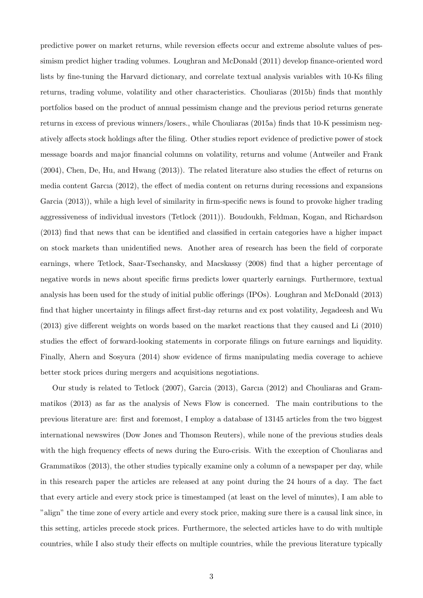predictive power on market returns, while reversion effects occur and extreme absolute values of pessimism predict higher trading volumes. Loughran and McDonald (2011) develop finance-oriented word lists by fine-tuning the Harvard dictionary, and correlate textual analysis variables with 10-Ks filing returns, trading volume, volatility and other characteristics. Chouliaras (2015b) finds that monthly portfolios based on the product of annual pessimism change and the previous period returns generate returns in excess of previous winners/losers., while Chouliaras (2015a) finds that 10-K pessimism negatively affects stock holdings after the filing. Other studies report evidence of predictive power of stock message boards and major financial columns on volatility, returns and volume (Antweiler and Frank (2004), Chen, De, Hu, and Hwang (2013)). The related literature also studies the effect of returns on media content Garcıa (2012), the effect of media content on returns during recessions and expansions Garcia (2013)), while a high level of similarity in firm-specific news is found to provoke higher trading aggressiveness of individual investors (Tetlock (2011)). Boudoukh, Feldman, Kogan, and Richardson (2013) find that news that can be identified and classified in certain categories have a higher impact on stock markets than unidentified news. Another area of research has been the field of corporate earnings, where Tetlock, Saar-Tsechansky, and Macskassy (2008) find that a higher percentage of negative words in news about specific firms predicts lower quarterly earnings. Furthermore, textual analysis has been used for the study of initial public offerings (IPOs). Loughran and McDonald (2013) find that higher uncertainty in filings affect first-day returns and ex post volatility, Jegadeesh and Wu (2013) give different weights on words based on the market reactions that they caused and Li (2010) studies the effect of forward-looking statements in corporate filings on future earnings and liquidity. Finally, Ahern and Sosyura (2014) show evidence of firms manipulating media coverage to achieve better stock prices during mergers and acquisitions negotiations.

Our study is related to Tetlock (2007), Garcia (2013), Garcıa (2012) and Chouliaras and Grammatikos (2013) as far as the analysis of News Flow is concerned. The main contributions to the previous literature are: first and foremost, I employ a database of 13145 articles from the two biggest international newswires (Dow Jones and Thomson Reuters), while none of the previous studies deals with the high frequency effects of news during the Euro-crisis. With the exception of Chouliaras and Grammatikos (2013), the other studies typically examine only a column of a newspaper per day, while in this research paper the articles are released at any point during the 24 hours of a day. The fact that every article and every stock price is timestamped (at least on the level of minutes), I am able to "align" the time zone of every article and every stock price, making sure there is a causal link since, in this setting, articles precede stock prices. Furthermore, the selected articles have to do with multiple countries, while I also study their effects on multiple countries, while the previous literature typically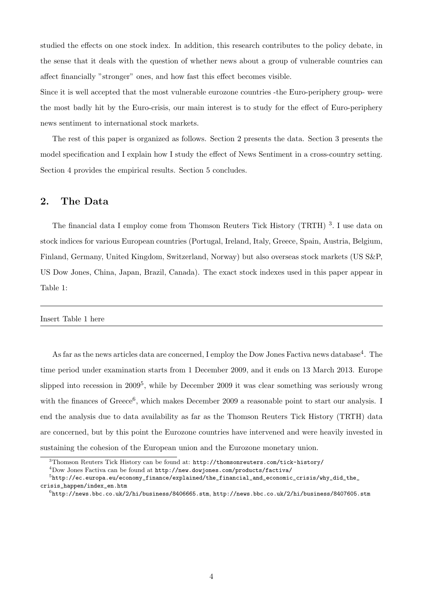studied the effects on one stock index. In addition, this research contributes to the policy debate, in the sense that it deals with the question of whether news about a group of vulnerable countries can affect financially "stronger" ones, and how fast this effect becomes visible.

Since it is well accepted that the most vulnerable eurozone countries -the Euro-periphery group- were the most badly hit by the Euro-crisis, our main interest is to study for the effect of Euro-periphery news sentiment to international stock markets.

The rest of this paper is organized as follows. Section 2 presents the data. Section 3 presents the model specification and I explain how I study the effect of News Sentiment in a cross-country setting. Section 4 provides the empirical results. Section 5 concludes.

## 2. The Data

The financial data I employ come from Thomson Reuters Tick History (TRTH)<sup>3</sup>. I use data on stock indices for various European countries (Portugal, Ireland, Italy, Greece, Spain, Austria, Belgium, Finland, Germany, United Kingdom, Switzerland, Norway) but also overseas stock markets (US S&P, US Dow Jones, China, Japan, Brazil, Canada). The exact stock indexes used in this paper appear in Table 1:

#### Insert Table 1 here

As far as the news articles data are concerned, I employ the Dow Jones Factiva news database<sup>4</sup>. The time period under examination starts from 1 December 2009, and it ends on 13 March 2013. Europe slipped into recession in 2009<sup>5</sup>, while by December 2009 it was clear something was seriously wrong with the finances of Greece<sup>6</sup>, which makes December 2009 a reasonable point to start our analysis. I end the analysis due to data availability as far as the Thomson Reuters Tick History (TRTH) data are concerned, but by this point the Eurozone countries have intervened and were heavily invested in sustaining the cohesion of the European union and the Eurozone monetary union.

<sup>3</sup>Thomson Reuters Tick History can be found at: http://thomsonreuters.com/tick-history/

<sup>4</sup>Dow Jones Factiva can be found at http://new.dowjones.com/products/factiva/

<sup>&</sup>lt;sup>5</sup>http://ec.europa.eu/economy\_finance/explained/the\_financial\_and\_economic\_crisis/why\_did\_the\_ crisis\_happen/index\_en.htm

 $^{6}$ http://news.bbc.co.uk/2/hi/business/8406665.stm, http://news.bbc.co.uk/2/hi/business/8407605.stm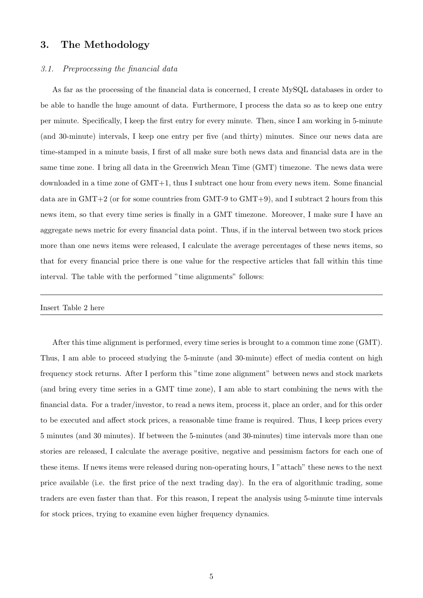## 3. The Methodology

#### 3.1. Preprocessing the financial data

As far as the processing of the financial data is concerned, I create MySQL databases in order to be able to handle the huge amount of data. Furthermore, I process the data so as to keep one entry per minute. Specifically, I keep the first entry for every minute. Then, since I am working in 5-minute (and 30-minute) intervals, I keep one entry per five (and thirty) minutes. Since our news data are time-stamped in a minute basis, I first of all make sure both news data and financial data are in the same time zone. I bring all data in the Greenwich Mean Time (GMT) timezone. The news data were downloaded in a time zone of GMT+1, thus I subtract one hour from every news item. Some financial data are in  $GMT+2$  (or for some countries from GMT-9 to  $GMT+9$ ), and I subtract 2 hours from this news item, so that every time series is finally in a GMT timezone. Moreover, I make sure I have an aggregate news metric for every financial data point. Thus, if in the interval between two stock prices more than one news items were released, I calculate the average percentages of these news items, so that for every financial price there is one value for the respective articles that fall within this time interval. The table with the performed "time alignments" follows:

#### Insert Table 2 here

After this time alignment is performed, every time series is brought to a common time zone (GMT). Thus, I am able to proceed studying the 5-minute (and 30-minute) effect of media content on high frequency stock returns. After I perform this "time zone alignment" between news and stock markets (and bring every time series in a GMT time zone), I am able to start combining the news with the financial data. For a trader/investor, to read a news item, process it, place an order, and for this order to be executed and affect stock prices, a reasonable time frame is required. Thus, I keep prices every 5 minutes (and 30 minutes). If between the 5-minutes (and 30-minutes) time intervals more than one stories are released, I calculate the average positive, negative and pessimism factors for each one of these items. If news items were released during non-operating hours, I "attach" these news to the next price available (i.e. the first price of the next trading day). In the era of algorithmic trading, some traders are even faster than that. For this reason, I repeat the analysis using 5-minute time intervals for stock prices, trying to examine even higher frequency dynamics.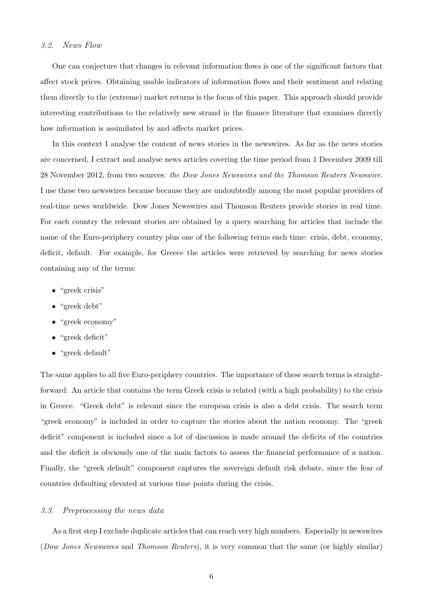#### 3.2. News Flow

One can conjecture that changes in relevant information flows is one of the significant factors that affect stock prices. Obtaining usable indicators of information flows and their sentiment and relating them directly to the (extreme) market returns is the focus of this paper. This approach should provide interesting contributions to the relatively new strand in the finance literature that examines directly how information is assimilated by and affects market prices.

In this context I analyse the content of news stories in the newswires. As far as the news stories are concerned, I extract and analyse news articles covering the time period from 1 December 2009 till 28 November 2012, from two sources: the Dow Jones Newswires and the Thomson Reuters Newswire. I use these two newswires because because they are undoubtedly among the most popular providers of real-time news worldwide. Dow Jones Newswires and Thomson Reuters provide stories in real time. For each country the relevant stories are obtained by a query searching for articles that include the name of the Euro-periphery country plus one of the following terms each time: crisis, debt, economy, deficit, default. For example, for Greece the articles were retrieved by searching for news stories containing any of the terms:

- "greek crisis"
- "greek debt"
- "greek economy"
- "greek deficit"
- "greek default"

The same applies to all five Euro-periphery countries. The importance of these search terms is straightforward: An article that contains the term Greek crisis is related (with a high probability) to the crisis in Greece. "Greek debt" is relevant since the european crisis is also a debt crisis. The search term "greek economy" is included in order to capture the stories about the nation economy. The "greek deficit" component is included since a lot of discussion is made around the deficits of the countries and the deficit is obviously one of the main factors to assess the financial performance of a nation. Finally, the "greek default" component captures the sovereign default risk debate, since the fear of countries defaulting elevated at various time points during the crisis.

#### 3.3. Preprocessing the news data

As a first step I exclude duplicate articles that can reach very high numbers. Especially in newswires (Dow Jones Newswires and Thomson Reuters), it is very common that the same (or highly similar)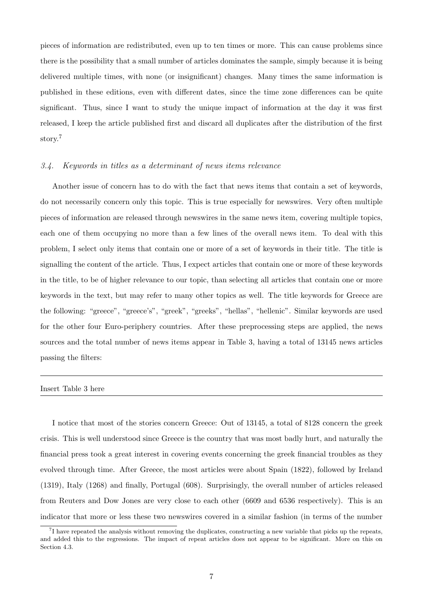pieces of information are redistributed, even up to ten times or more. This can cause problems since there is the possibility that a small number of articles dominates the sample, simply because it is being delivered multiple times, with none (or insignificant) changes. Many times the same information is published in these editions, even with different dates, since the time zone differences can be quite significant. Thus, since I want to study the unique impact of information at the day it was first released, I keep the article published first and discard all duplicates after the distribution of the first story.<sup>7</sup>

#### 3.4. Keywords in titles as a determinant of news items relevance

Another issue of concern has to do with the fact that news items that contain a set of keywords, do not necessarily concern only this topic. This is true especially for newswires. Very often multiple pieces of information are released through newswires in the same news item, covering multiple topics, each one of them occupying no more than a few lines of the overall news item. To deal with this problem, I select only items that contain one or more of a set of keywords in their title. The title is signalling the content of the article. Thus, I expect articles that contain one or more of these keywords in the title, to be of higher relevance to our topic, than selecting all articles that contain one or more keywords in the text, but may refer to many other topics as well. The title keywords for Greece are the following: "greece", "greece's", "greek", "greeks", "hellas", "hellenic". Similar keywords are used for the other four Euro-periphery countries. After these preprocessing steps are applied, the news sources and the total number of news items appear in Table 3, having a total of 13145 news articles passing the filters:

#### Insert Table 3 here

I notice that most of the stories concern Greece: Out of 13145, a total of 8128 concern the greek crisis. This is well understood since Greece is the country that was most badly hurt, and naturally the financial press took a great interest in covering events concerning the greek financial troubles as they evolved through time. After Greece, the most articles were about Spain (1822), followed by Ireland (1319), Italy (1268) and finally, Portugal (608). Surprisingly, the overall number of articles released from Reuters and Dow Jones are very close to each other (6609 and 6536 respectively). This is an indicator that more or less these two newswires covered in a similar fashion (in terms of the number

 ${}^{7}$ I have repeated the analysis without removing the duplicates, constructing a new variable that picks up the repeats, and added this to the regressions. The impact of repeat articles does not appear to be significant. More on this on Section 4.3.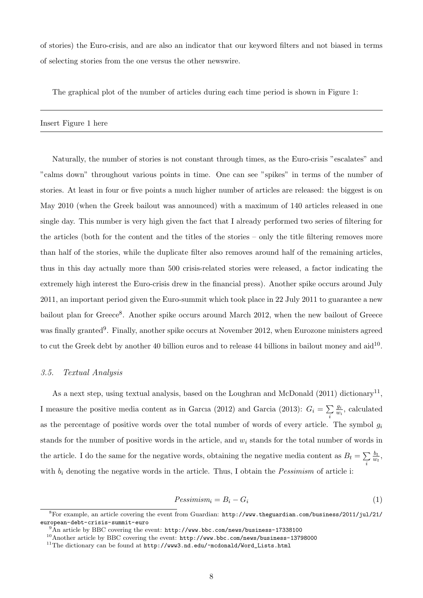of stories) the Euro-crisis, and are also an indicator that our keyword filters and not biased in terms of selecting stories from the one versus the other newswire.

The graphical plot of the number of articles during each time period is shown in Figure 1:

Insert Figure 1 here

Naturally, the number of stories is not constant through times, as the Euro-crisis "escalates" and "calms down" throughout various points in time. One can see "spikes" in terms of the number of stories. At least in four or five points a much higher number of articles are released: the biggest is on May 2010 (when the Greek bailout was announced) with a maximum of 140 articles released in one single day. This number is very high given the fact that I already performed two series of filtering for the articles (both for the content and the titles of the stories – only the title filtering removes more than half of the stories, while the duplicate filter also removes around half of the remaining articles, thus in this day actually more than 500 crisis-related stories were released, a factor indicating the extremely high interest the Euro-crisis drew in the financial press). Another spike occurs around July 2011, an important period given the Euro-summit which took place in 22 July 2011 to guarantee a new bailout plan for Greece<sup>8</sup>. Another spike occurs around March 2012, when the new bailout of Greece was finally granted<sup>9</sup>. Finally, another spike occurs at November 2012, when Eurozone ministers agreed to cut the Greek debt by another 40 billion euros and to release 44 billions in bailout money and  $\text{aid}^{10}$ .

#### 3.5. Textual Analysis

As a next step, using textual analysis, based on the Loughran and McDonald  $(2011)$  dictionary<sup>11</sup>, I measure the positive media content as in Garcia (2012) and Garcia (2013):  $G_i = \sum$ i gi  $\frac{g_i}{w_i}$ , calculated as the percentage of positive words over the total number of words of every article. The symbol  $q_i$ stands for the number of positive words in the article, and  $w_i$  stands for the total number of words in the article. I do the same for the negative words, obtaining the negative media content as  $B_t = \sum$ i  $b_t$  $\frac{b_t}{w_t}$ with  $b_i$  denoting the negative words in the article. Thus, I obtain the *Pessimism* of article i:

$$
Pessimism_i = B_i - G_i \tag{1}
$$

 ${}^{8}$ For example, an article covering the event from Guardian: http://www.theguardian.com/business/2011/jul/21/ european-debt-crisis-summit-euro

<sup>9</sup>An article by BBC covering the event: http://www.bbc.com/news/business-17338100

<sup>10</sup>Another article by BBC covering the event: http://www.bbc.com/news/business-13798000

 $^{11}$ The dictionary can be found at  ${\tt http://www3.nd.edu/~mcdonald/Word\_Lists.html}$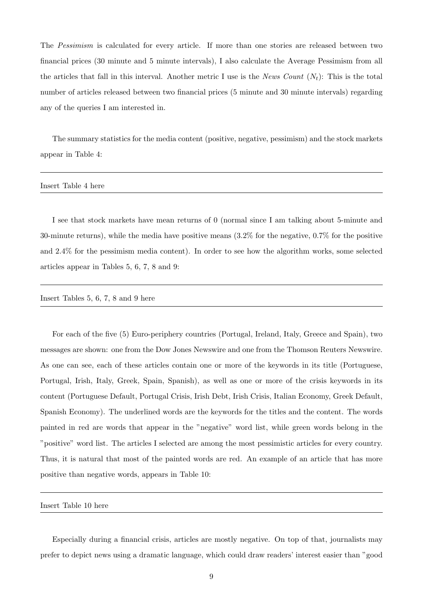The Pessimism is calculated for every article. If more than one stories are released between two financial prices (30 minute and 5 minute intervals), I also calculate the Average Pessimism from all the articles that fall in this interval. Another metric I use is the News Count  $(N_t)$ : This is the total number of articles released between two financial prices (5 minute and 30 minute intervals) regarding any of the queries I am interested in.

The summary statistics for the media content (positive, negative, pessimism) and the stock markets appear in Table 4:

Insert Table 4 here

I see that stock markets have mean returns of 0 (normal since I am talking about 5-minute and 30-minute returns), while the media have positive means (3.2% for the negative, 0.7% for the positive and 2.4% for the pessimism media content). In order to see how the algorithm works, some selected articles appear in Tables 5, 6, 7, 8 and 9:

Insert Tables 5, 6, 7, 8 and 9 here

For each of the five (5) Euro-periphery countries (Portugal, Ireland, Italy, Greece and Spain), two messages are shown: one from the Dow Jones Newswire and one from the Thomson Reuters Newswire. As one can see, each of these articles contain one or more of the keywords in its title (Portuguese, Portugal, Irish, Italy, Greek, Spain, Spanish), as well as one or more of the crisis keywords in its content (Portuguese Default, Portugal Crisis, Irish Debt, Irish Crisis, Italian Economy, Greek Default, Spanish Economy). The underlined words are the keywords for the titles and the content. The words painted in red are words that appear in the "negative" word list, while green words belong in the "positive" word list. The articles I selected are among the most pessimistic articles for every country. Thus, it is natural that most of the painted words are red. An example of an article that has more positive than negative words, appears in Table 10:

Insert Table 10 here

Especially during a financial crisis, articles are mostly negative. On top of that, journalists may prefer to depict news using a dramatic language, which could draw readers' interest easier than "good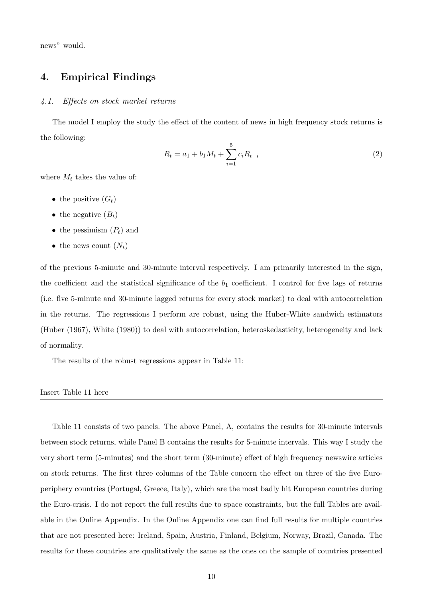news" would.

## 4. Empirical Findings

#### 4.1. Effects on stock market returns

The model I employ the study the effect of the content of news in high frequency stock returns is the following:

$$
R_t = a_1 + b_1 M_t + \sum_{i=1}^{5} c_i R_{t-i}
$$
\n<sup>(2)</sup>

where  $M_t$  takes the value of:

- the positive  $(G_t)$
- the negative  $(B_t)$
- the pessimism  $(P_t)$  and
- the news count  $(N_t)$

of the previous 5-minute and 30-minute interval respectively. I am primarily interested in the sign, the coefficient and the statistical significance of the  $b_1$  coefficient. I control for five lags of returns (i.e. five 5-minute and 30-minute lagged returns for every stock market) to deal with autocorrelation in the returns. The regressions I perform are robust, using the Huber-White sandwich estimators (Huber (1967), White (1980)) to deal with autocorrelation, heteroskedasticity, heterogeneity and lack of normality.

The results of the robust regressions appear in Table 11:

#### Insert Table 11 here

Table 11 consists of two panels. The above Panel, A, contains the results for 30-minute intervals between stock returns, while Panel B contains the results for 5-minute intervals. This way I study the very short term (5-minutes) and the short term (30-minute) effect of high frequency newswire articles on stock returns. The first three columns of the Table concern the effect on three of the five Europeriphery countries (Portugal, Greece, Italy), which are the most badly hit European countries during the Euro-crisis. I do not report the full results due to space constraints, but the full Tables are available in the Online Appendix. In the Online Appendix one can find full results for multiple countries that are not presented here: Ireland, Spain, Austria, Finland, Belgium, Norway, Brazil, Canada. The results for these countries are qualitatively the same as the ones on the sample of countries presented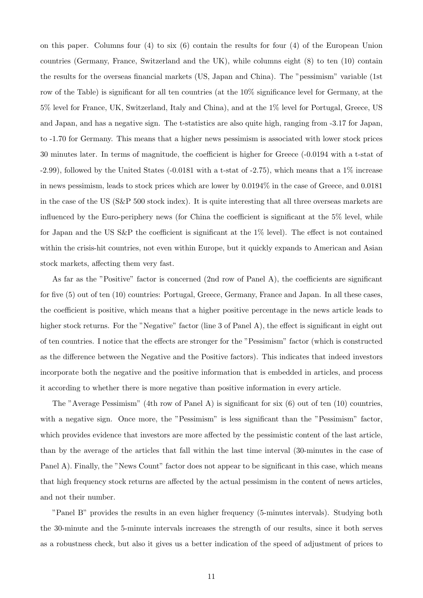on this paper. Columns four (4) to six (6) contain the results for four (4) of the European Union countries (Germany, France, Switzerland and the UK), while columns eight (8) to ten (10) contain the results for the overseas financial markets (US, Japan and China). The "pessimism" variable (1st row of the Table) is significant for all ten countries (at the 10% significance level for Germany, at the 5% level for France, UK, Switzerland, Italy and China), and at the 1% level for Portugal, Greece, US and Japan, and has a negative sign. The t-statistics are also quite high, ranging from -3.17 for Japan, to -1.70 for Germany. This means that a higher news pessimism is associated with lower stock prices 30 minutes later. In terms of magnitude, the coefficient is higher for Greece (-0.0194 with a t-stat of  $-2.99$ ), followed by the United States  $(-0.0181$  with a t-stat of  $-2.75$ ), which means that a  $1\%$  increase in news pessimism, leads to stock prices which are lower by 0.0194% in the case of Greece, and 0.0181 in the case of the US (S&P 500 stock index). It is quite interesting that all three overseas markets are influenced by the Euro-periphery news (for China the coefficient is significant at the 5% level, while for Japan and the US S&P the coefficient is significant at the 1% level). The effect is not contained within the crisis-hit countries, not even within Europe, but it quickly expands to American and Asian stock markets, affecting them very fast.

As far as the "Positive" factor is concerned (2nd row of Panel A), the coefficients are significant for five (5) out of ten (10) countries: Portugal, Greece, Germany, France and Japan. In all these cases, the coefficient is positive, which means that a higher positive percentage in the news article leads to higher stock returns. For the "Negative" factor (line 3 of Panel A), the effect is significant in eight out of ten countries. I notice that the effects are stronger for the "Pessimism" factor (which is constructed as the difference between the Negative and the Positive factors). This indicates that indeed investors incorporate both the negative and the positive information that is embedded in articles, and process it according to whether there is more negative than positive information in every article.

The "Average Pessimism" (4th row of Panel A) is significant for six (6) out of ten (10) countries, with a negative sign. Once more, the "Pessimism" is less significant than the "Pessimism" factor, which provides evidence that investors are more affected by the pessimistic content of the last article, than by the average of the articles that fall within the last time interval (30-minutes in the case of Panel A). Finally, the "News Count" factor does not appear to be significant in this case, which means that high frequency stock returns are affected by the actual pessimism in the content of news articles, and not their number.

"Panel B" provides the results in an even higher frequency (5-minutes intervals). Studying both the 30-minute and the 5-minute intervals increases the strength of our results, since it both serves as a robustness check, but also it gives us a better indication of the speed of adjustment of prices to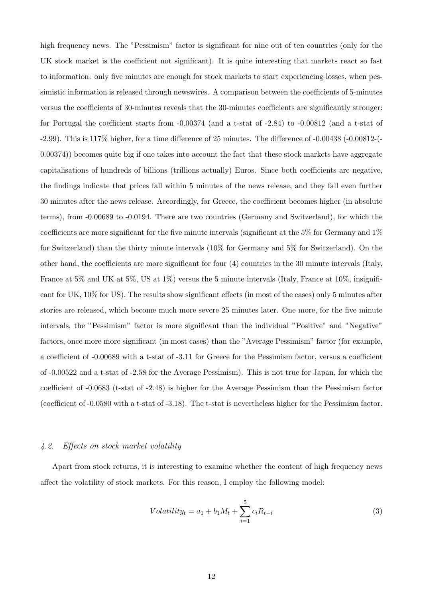high frequency news. The "Pessimism" factor is significant for nine out of ten countries (only for the UK stock market is the coefficient not significant). It is quite interesting that markets react so fast to information: only five minutes are enough for stock markets to start experiencing losses, when pessimistic information is released through newswires. A comparison between the coefficients of 5-minutes versus the coefficients of 30-minutes reveals that the 30-minutes coefficients are significantly stronger: for Portugal the coefficient starts from -0.00374 (and a t-stat of -2.84) to -0.00812 (and a t-stat of -2.99). This is 117% higher, for a time difference of 25 minutes. The difference of -0.00438 (-0.00812-(- 0.00374)) becomes quite big if one takes into account the fact that these stock markets have aggregate capitalisations of hundreds of billions (trillions actually) Euros. Since both coefficients are negative, the findings indicate that prices fall within 5 minutes of the news release, and they fall even further 30 minutes after the news release. Accordingly, for Greece, the coefficient becomes higher (in absolute terms), from -0.00689 to -0.0194. There are two countries (Germany and Switzerland), for which the coefficients are more significant for the five minute intervals (significant at the 5% for Germany and 1% for Switzerland) than the thirty minute intervals (10% for Germany and 5% for Switzerland). On the other hand, the coefficients are more significant for four (4) countries in the 30 minute intervals (Italy, France at 5% and UK at 5%, US at 1%) versus the 5 minute intervals (Italy, France at 10%, insignificant for UK, 10% for US). The results show significant effects (in most of the cases) only 5 minutes after stories are released, which become much more severe 25 minutes later. One more, for the five minute intervals, the "Pessimism" factor is more significant than the individual "Positive" and "Negative" factors, once more more significant (in most cases) than the "Average Pessimism" factor (for example, a coefficient of -0.00689 with a t-stat of -3.11 for Greece for the Pessimism factor, versus a coefficient of -0.00522 and a t-stat of -2.58 for the Average Pessimism). This is not true for Japan, for which the coefficient of -0.0683 (t-stat of -2.48) is higher for the Average Pessimism than the Pessimism factor (coefficient of -0.0580 with a t-stat of -3.18). The t-stat is nevertheless higher for the Pessimism factor.

#### 4.2. Effects on stock market volatility

Apart from stock returns, it is interesting to examine whether the content of high frequency news affect the volatility of stock markets. For this reason, I employ the following model:

$$
Volatility_t = a_1 + b_1 M_t + \sum_{i=1}^{5} c_i R_{t-i}
$$
\n(3)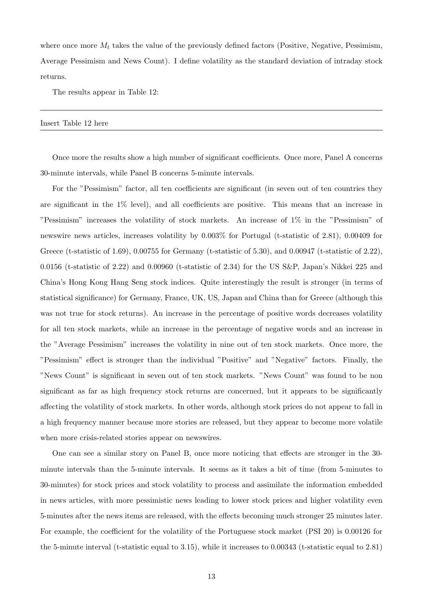where once more  $M_t$  takes the value of the previously defined factors (Positive, Negative, Pessimism, Average Pessimism and News Count). I define volatility as the standard deviation of intraday stock returns.

The results appear in Table 12:

Insert Table 12 here

Once more the results show a high number of significant coefficients. Once more, Panel A concerns 30-minute intervals, while Panel B concerns 5-minute intervals.

For the "Pessimism" factor, all ten coefficients are significant (in seven out of ten countries they are significant in the 1% level), and all coefficients are positive. This means that an increase in "Pessimism" increases the volatility of stock markets. An increase of 1% in the "Pessimism" of newswire news articles, increases volatility by 0.003% for Portugal (t-statistic of 2.81), 0.00409 for Greece (t-statistic of 1.69), 0.00755 for Germany (t-statistic of 5.30), and  $0.00947$  (t-statistic of 2.22), 0.0156 (t-statistic of 2.22) and 0.00960 (t-statistic of 2.34) for the US S&P, Japan's Nikkei 225 and China's Hong Kong Hang Seng stock indices. Quite interestingly the result is stronger (in terms of statistical significance) for Germany, France, UK, US, Japan and China than for Greece (although this was not true for stock returns). An increase in the percentage of positive words decreases volatility for all ten stock markets, while an increase in the percentage of negative words and an increase in the "Average Pessimism" increases the volatility in nine out of ten stock markets. Once more, the "Pessimism" effect is stronger than the individual "Positive" and "Negative" factors. Finally, the "News Count" is significant in seven out of ten stock markets. "News Count" was found to be non significant as far as high frequency stock returns are concerned, but it appears to be significantly affecting the volatility of stock markets. In other words, although stock prices do not appear to fall in a high frequency manner because more stories are released, but they appear to become more volatile when more crisis-related stories appear on newswires.

One can see a similar story on Panel B, once more noticing that effects are stronger in the 30 minute intervals than the 5-minute intervals. It seems as it takes a bit of time (from 5-minutes to 30-minutes) for stock prices and stock volatility to process and assimilate the information embedded in news articles, with more pessimistic news leading to lower stock prices and higher volatility even 5-minutes after the news items are released, with the effects becoming much stronger 25 minutes later. For example, the coefficient for the volatility of the Portuguese stock market (PSI 20) is 0.00126 for the 5-minute interval (t-statistic equal to 3.15), while it increases to 0.00343 (t-statistic equal to 2.81)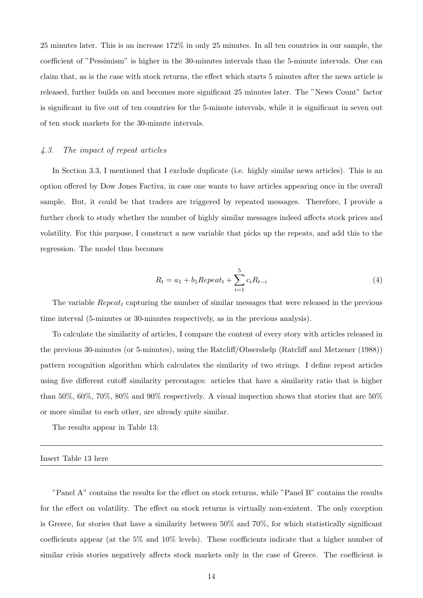25 minutes later. This is an increase 172% in only 25 minutes. In all ten countries in our sample, the coefficient of "Pessimism" is higher in the 30-minutes intervals than the 5-minute intervals. One can claim that, as is the case with stock returns, the effect which starts 5 minutes after the news article is released, further builds on and becomes more significant 25 minutes later. The "News Count" factor is significant in five out of ten countries for the 5-minute intervals, while it is significant in seven out of ten stock markets for the 30-minute intervals.

#### 4.3. The impact of repeat articles

In Section 3.3, I mentioned that I exclude duplicate (i.e. highly similar news articles). This is an option offered by Dow Jones Factiva, in case one wants to have articles appearing once in the overall sample. But, it could be that traders are triggered by repeated messages. Therefore, I provide a further check to study whether the number of highly similar messages indeed affects stock prices and volatility. For this purpose, I construct a new variable that picks up the repeats, and add this to the regression. The model thus becomes

$$
R_t = a_1 + b_1 \text{Repeat}_t + \sum_{i=1}^{5} c_i R_{t-i}
$$
\n<sup>(4)</sup>

The variable  $Repeat_t$  capturing the number of similar messages that were released in the previous time interval (5-minutes or 30-minutes respectively, as in the previous analysis).

To calculate the similarity of articles, I compare the content of every story with articles released in the previous 30-minutes (or 5-minutes), using the Ratcliff/Obsershelp (Ratcliff and Metzener (1988)) pattern recognition algorithm which calculates the similarity of two strings. I define repeat articles using five different cutoff similarity percentages: articles that have a similarity ratio that is higher than 50%, 60%, 70%, 80% and 90% respectively. A visual inspection shows that stories that are 50% or more similar to each other, are already quite similar.

The results appear in Table 13:

Insert Table 13 here

"Panel A" contains the results for the effect on stock returns, while "Panel B" contains the results for the effect on volatility. The effect on stock returns is virtually non-existent. The only exception is Greece, for stories that have a similarity between 50% and 70%, for which statistically significant coefficients appear (at the 5% and 10% levels). These coefficients indicate that a higher number of similar crisis stories negatively affects stock markets only in the case of Greece. The coefficient is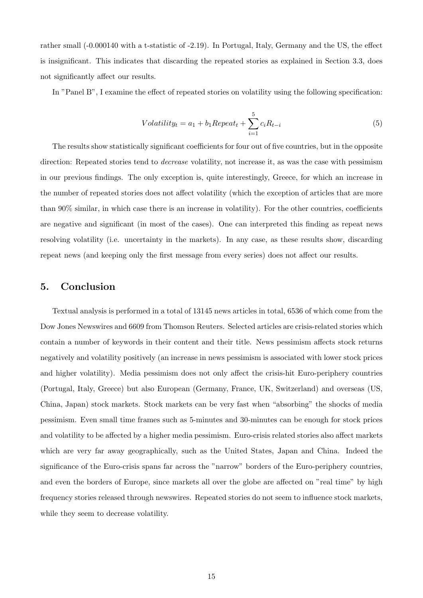rather small (-0.000140 with a t-statistic of -2.19). In Portugal, Italy, Germany and the US, the effect is insignificant. This indicates that discarding the repeated stories as explained in Section 3.3, does not significantly affect our results.

In "Panel B", I examine the effect of repeated stories on volatility using the following specification:

$$
Volatility_t = a_1 + b_1 Repeat_t + \sum_{i=1}^{5} c_i R_{t-i}
$$
\n
$$
(5)
$$

The results show statistically significant coefficients for four out of five countries, but in the opposite direction: Repeated stories tend to *decrease* volatility, not increase it, as was the case with pessimism in our previous findings. The only exception is, quite interestingly, Greece, for which an increase in the number of repeated stories does not affect volatility (which the exception of articles that are more than 90% similar, in which case there is an increase in volatility). For the other countries, coefficients are negative and significant (in most of the cases). One can interpreted this finding as repeat news resolving volatility (i.e. uncertainty in the markets). In any case, as these results show, discarding repeat news (and keeping only the first message from every series) does not affect our results.

## 5. Conclusion

Textual analysis is performed in a total of 13145 news articles in total, 6536 of which come from the Dow Jones Newswires and 6609 from Thomson Reuters. Selected articles are crisis-related stories which contain a number of keywords in their content and their title. News pessimism affects stock returns negatively and volatility positively (an increase in news pessimism is associated with lower stock prices and higher volatility). Media pessimism does not only affect the crisis-hit Euro-periphery countries (Portugal, Italy, Greece) but also European (Germany, France, UK, Switzerland) and overseas (US, China, Japan) stock markets. Stock markets can be very fast when "absorbing" the shocks of media pessimism. Even small time frames such as 5-minutes and 30-minutes can be enough for stock prices and volatility to be affected by a higher media pessimism. Euro-crisis related stories also affect markets which are very far away geographically, such as the United States, Japan and China. Indeed the significance of the Euro-crisis spans far across the "narrow" borders of the Euro-periphery countries, and even the borders of Europe, since markets all over the globe are affected on "real time" by high frequency stories released through newswires. Repeated stories do not seem to influence stock markets, while they seem to decrease volatility.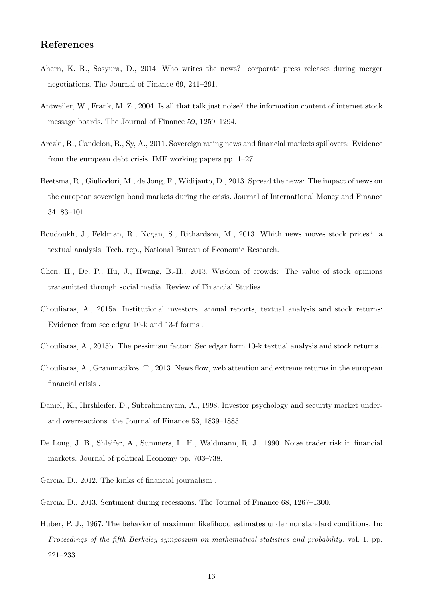## References

- Ahern, K. R., Sosyura, D., 2014. Who writes the news? corporate press releases during merger negotiations. The Journal of Finance 69, 241–291.
- Antweiler, W., Frank, M. Z., 2004. Is all that talk just noise? the information content of internet stock message boards. The Journal of Finance 59, 1259–1294.
- Arezki, R., Candelon, B., Sy, A., 2011. Sovereign rating news and financial markets spillovers: Evidence from the european debt crisis. IMF working papers pp. 1–27.
- Beetsma, R., Giuliodori, M., de Jong, F., Widijanto, D., 2013. Spread the news: The impact of news on the european sovereign bond markets during the crisis. Journal of International Money and Finance 34, 83–101.
- Boudoukh, J., Feldman, R., Kogan, S., Richardson, M., 2013. Which news moves stock prices? a textual analysis. Tech. rep., National Bureau of Economic Research.
- Chen, H., De, P., Hu, J., Hwang, B.-H., 2013. Wisdom of crowds: The value of stock opinions transmitted through social media. Review of Financial Studies .
- Chouliaras, A., 2015a. Institutional investors, annual reports, textual analysis and stock returns: Evidence from sec edgar 10-k and 13-f forms .
- Chouliaras, A., 2015b. The pessimism factor: Sec edgar form 10-k textual analysis and stock returns .
- Chouliaras, A., Grammatikos, T., 2013. News flow, web attention and extreme returns in the european financial crisis .
- Daniel, K., Hirshleifer, D., Subrahmanyam, A., 1998. Investor psychology and security market underand overreactions. the Journal of Finance 53, 1839–1885.
- De Long, J. B., Shleifer, A., Summers, L. H., Waldmann, R. J., 1990. Noise trader risk in financial markets. Journal of political Economy pp. 703–738.
- Garcıa, D., 2012. The kinks of financial journalism .
- Garcia, D., 2013. Sentiment during recessions. The Journal of Finance 68, 1267–1300.
- Huber, P. J., 1967. The behavior of maximum likelihood estimates under nonstandard conditions. In: Proceedings of the fifth Berkeley symposium on mathematical statistics and probability, vol. 1, pp. 221–233.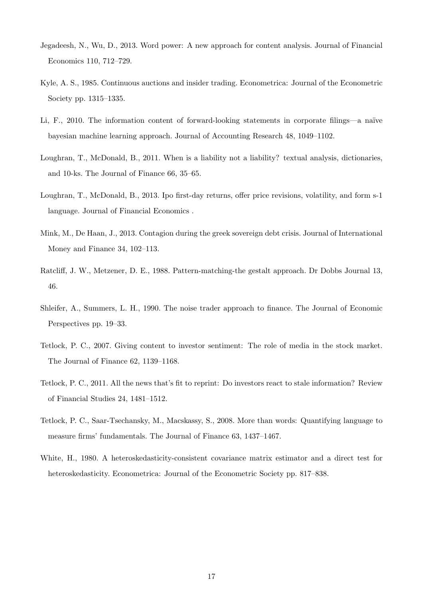- Jegadeesh, N., Wu, D., 2013. Word power: A new approach for content analysis. Journal of Financial Economics 110, 712–729.
- Kyle, A. S., 1985. Continuous auctions and insider trading. Econometrica: Journal of the Econometric Society pp. 1315–1335.
- Li, F., 2010. The information content of forward-looking statements in corporate filings—a naïve bayesian machine learning approach. Journal of Accounting Research 48, 1049–1102.
- Loughran, T., McDonald, B., 2011. When is a liability not a liability? textual analysis, dictionaries, and 10-ks. The Journal of Finance 66, 35–65.
- Loughran, T., McDonald, B., 2013. Ipo first-day returns, offer price revisions, volatility, and form s-1 language. Journal of Financial Economics .
- Mink, M., De Haan, J., 2013. Contagion during the greek sovereign debt crisis. Journal of International Money and Finance 34, 102–113.
- Ratcliff, J. W., Metzener, D. E., 1988. Pattern-matching-the gestalt approach. Dr Dobbs Journal 13, 46.
- Shleifer, A., Summers, L. H., 1990. The noise trader approach to finance. The Journal of Economic Perspectives pp. 19–33.
- Tetlock, P. C., 2007. Giving content to investor sentiment: The role of media in the stock market. The Journal of Finance 62, 1139–1168.
- Tetlock, P. C., 2011. All the news that's fit to reprint: Do investors react to stale information? Review of Financial Studies 24, 1481–1512.
- Tetlock, P. C., Saar-Tsechansky, M., Macskassy, S., 2008. More than words: Quantifying language to measure firms' fundamentals. The Journal of Finance 63, 1437–1467.
- White, H., 1980. A heteroskedasticity-consistent covariance matrix estimator and a direct test for heteroskedasticity. Econometrica: Journal of the Econometric Society pp. 817–838.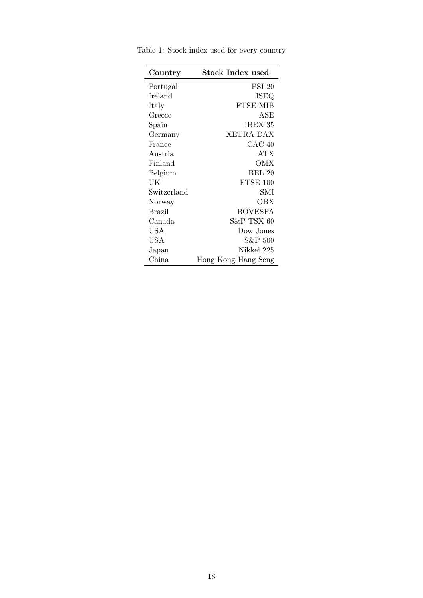| Country     | Stock Index used    |
|-------------|---------------------|
| Portugal    | <b>PSI 20</b>       |
| Ireland     | ISEQ                |
| Italy       | FTSE MIB            |
| Greece      | ${\rm ASE}$         |
| Spain       | IBEX 35             |
| Germany     | XETRA DAX           |
| France      | CAC 40              |
| Austria     | ATX                 |
| Finland     | ОМХ                 |
| Belgium     | BEL 20              |
| UK          | FTSE 100            |
| Switzerland | SMI                 |
| Norway      | OBX                 |
| Brazil      | <b>BOVESPA</b>      |
| Canada      | S&P TSX 60          |
| <b>USA</b>  | Dow Jones           |
| <b>USA</b>  | S&P 500             |
| Japan       | Nikkei 225          |
| China       | Hong Kong Hang Seng |

Table 1: Stock index used for every country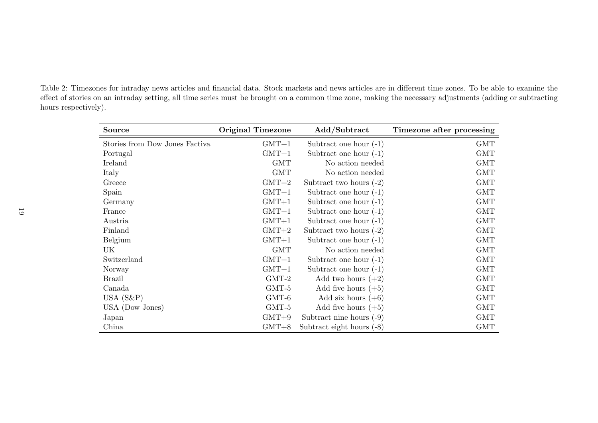Table 2: Timezones for intraday news articles and financial data. Stock markets and news articles are in different time zones. To be able to examine the effect of stories on an intraday setting, all time series must be brought on a common time zone, making the necessary adjustments (adding or subtracting hours respectively).

| Source                         | <b>Original Timezone</b> | Add/Subtract                | Timezone after processing |
|--------------------------------|--------------------------|-----------------------------|---------------------------|
| Stories from Dow Jones Factiva | $GMT+1$                  | Subtract one hour $(-1)$    | <b>GMT</b>                |
| Portugal                       | $GMT+1$                  | Subtract one hour $(-1)$    | <b>GMT</b>                |
| Ireland                        | <b>GMT</b>               | No action needed            | <b>GMT</b>                |
| Italy                          | <b>GMT</b>               | No action needed            | <b>GMT</b>                |
| Greece                         | $GMT+2$                  | Subtract two hours $(-2)$   | <b>GMT</b>                |
| Spain                          | $GMT+1$                  | Subtract one hour $(-1)$    | <b>GMT</b>                |
| Germany                        | $GMT+1$                  | Subtract one hour $(-1)$    | <b>GMT</b>                |
| France                         | $GMT+1$                  | Subtract one hour $(-1)$    | <b>GMT</b>                |
| Austria                        | $GMT+1$                  | Subtract one hour $(-1)$    | <b>GMT</b>                |
| Finland                        | $GMT+2$                  | Subtract two hours $(-2)$   | <b>GMT</b>                |
| Belgium                        | $GMT+1$                  | Subtract one hour $(-1)$    | <b>GMT</b>                |
| UK                             | <b>GMT</b>               | No action needed            | <b>GMT</b>                |
| Switzerland                    | $GMT+1$                  | Subtract one hour $(-1)$    | GMT                       |
| Norway                         | $GMT+1$                  | Subtract one hour $(-1)$    | <b>GMT</b>                |
| <b>Brazil</b>                  | $GMT-2$                  | Add two hours $(+2)$        | <b>GMT</b>                |
| Canada                         | GMT-5                    | Add five hours $(+5)$       | <b>GMT</b>                |
| USA $(S\&P)$                   | $GMT-6$                  | Add six hours $(+6)$        | <b>GMT</b>                |
| USA (Dow Jones)                | $GMT-5$                  | Add five hours $(+5)$       | <b>GMT</b>                |
| Japan                          | $GMT+9$                  | Subtract nine hours $(-9)$  | <b>GMT</b>                |
| China                          | $GMT+8$                  | Subtract eight hours $(-8)$ | <b>GMT</b>                |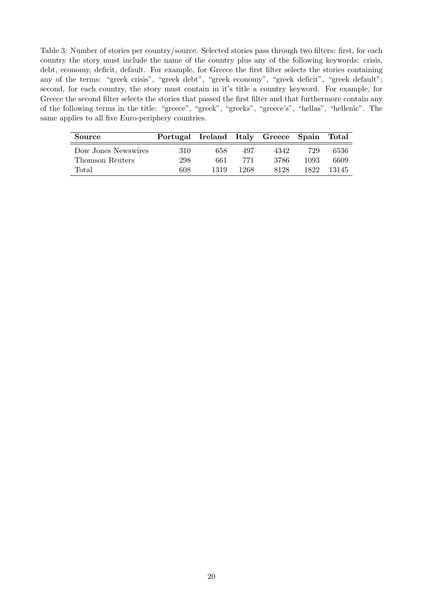Table 3: Number of stories per country/source. Selected stories pass through two filters: first, for each country the story must include the name of the country plus any of the following keywords: crisis, debt, economy, deficit, default. For example, for Greece the first filter selects the stories containing any of the terms: "greek crisis", "greek debt", "greek economy", "greek deficit", "greek default"; second, for each country, the story must contain in it's title a country keyword. For example, for Greece the second filter selects the stories that passed the first filter and that furthermore contain any of the following terms in the title: "greece", "greek", "greeks", "greece's", "hellas", "hellenic". The same applies to all five Euro-periphery countries.

| Source              | Portugal Ireland Italy Greece Spain Total |      |      |      |       |       |
|---------------------|-------------------------------------------|------|------|------|-------|-------|
| Dow Jones Newswires | 310                                       | 658  | 497  | 4342 | 729   | 6536  |
| Thomson Reuters     | 298                                       | 661  | 771  | 3786 | 1093  | 6609  |
| Total               | 608                                       | 1319 | 1268 | 8128 | 1822. | 13145 |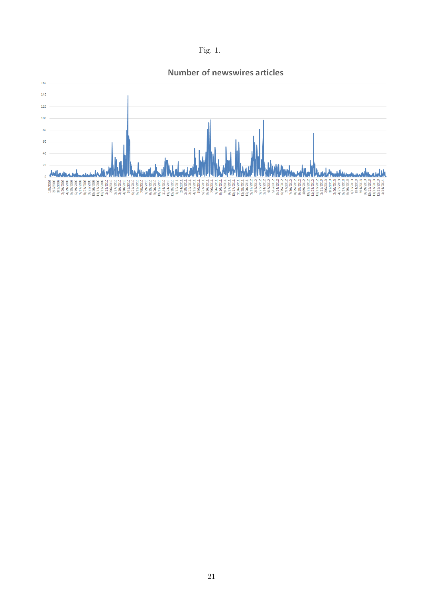

## **Number of newswires articles**

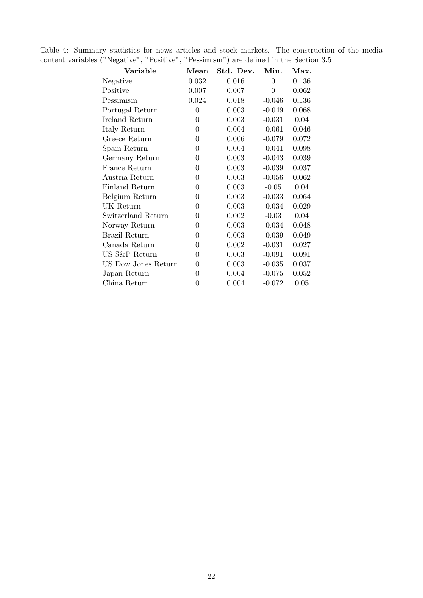| Variable            | Mean     | Std. Dev. | Min.     | Max.  |
|---------------------|----------|-----------|----------|-------|
| Negative            | 0.032    | 0.016     | 0        | 0.136 |
| Positive            | 0.007    | 0.007     | $\theta$ | 0.062 |
| Pessimism           | 0.024    | 0.018     | $-0.046$ | 0.136 |
| Portugal Return     | 0        | 0.003     | $-0.049$ | 0.068 |
| Ireland Return      | 0        | 0.003     | $-0.031$ | 0.04  |
| Italy Return        | 0        | 0.004     | $-0.061$ | 0.046 |
| Greece Return       | 0        | 0.006     | $-0.079$ | 0.072 |
| Spain Return        | 0        | 0.004     | $-0.041$ | 0.098 |
| Germany Return      | 0        | 0.003     | $-0.043$ | 0.039 |
| France Return       | $\theta$ | 0.003     | $-0.039$ | 0.037 |
| Austria Return      | 0        | 0.003     | $-0.056$ | 0.062 |
| Finland Return      | 0        | 0.003     | $-0.05$  | 0.04  |
| Belgium Return      | 0        | 0.003     | $-0.033$ | 0.064 |
| UK Return           | 0        | 0.003     | $-0.034$ | 0.029 |
| Switzerland Return  | 0        | 0.002     | $-0.03$  | 0.04  |
| Norway Return       | 0        | 0.003     | $-0.034$ | 0.048 |
| Brazil Return       | 0        | 0.003     | $-0.039$ | 0.049 |
| Canada Return       | 0        | 0.002     | $-0.031$ | 0.027 |
| US S&P Return       | 0        | 0.003     | $-0.091$ | 0.091 |
| US Dow Jones Return | 0        | 0.003     | $-0.035$ | 0.037 |
| Japan Return        | 0        | 0.004     | $-0.075$ | 0.052 |
| China Return        | 0        | 0.004     | $-0.072$ | 0.05  |

Table 4: Summary statistics for news articles and stock markets. The construction of the media content variables ("Negative", "Positive", "Pessimism") are defined in the Section 3.5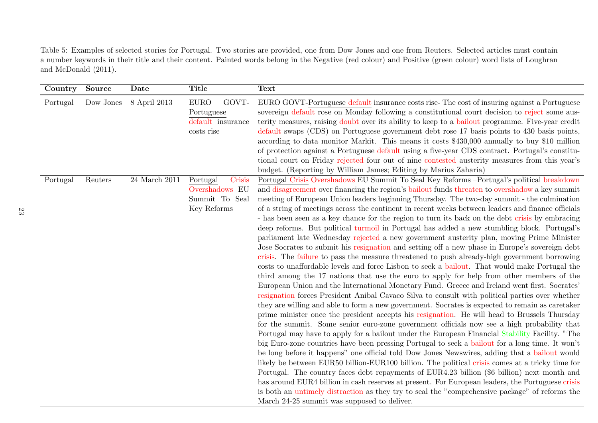Table 5: Examples of selected stories for Portugal. Two stories are provided, one from Dow Jones and one from Reuters. Selected articles must contain a number keywords in their title and their content. Painted words belong in the Negative (red colour) and Positive (green colour) word lists of Loughran and McDonald (2011).

| Country  | Source    | Date              | <b>Title</b>                                                          | <b>Text</b>                                                                                                                                                                                                                                                                                                                                                                                                                                                                                                                                                                                                                                                                                                                                                                                                                                                                                                                                                                                                                                                                                                                                                                                                                                                                                                                                                                                                                                                                                                                                                                                                                                                                                                                                                                                                                                                                                                                                                                                                                                                                                                                                                                                                                                                                                                                                                      |
|----------|-----------|-------------------|-----------------------------------------------------------------------|------------------------------------------------------------------------------------------------------------------------------------------------------------------------------------------------------------------------------------------------------------------------------------------------------------------------------------------------------------------------------------------------------------------------------------------------------------------------------------------------------------------------------------------------------------------------------------------------------------------------------------------------------------------------------------------------------------------------------------------------------------------------------------------------------------------------------------------------------------------------------------------------------------------------------------------------------------------------------------------------------------------------------------------------------------------------------------------------------------------------------------------------------------------------------------------------------------------------------------------------------------------------------------------------------------------------------------------------------------------------------------------------------------------------------------------------------------------------------------------------------------------------------------------------------------------------------------------------------------------------------------------------------------------------------------------------------------------------------------------------------------------------------------------------------------------------------------------------------------------------------------------------------------------------------------------------------------------------------------------------------------------------------------------------------------------------------------------------------------------------------------------------------------------------------------------------------------------------------------------------------------------------------------------------------------------------------------------------------------------|
| Portugal | Dow Jones | 8 April 2013      | <b>EURO</b><br>GOVT-<br>Portuguese<br>default insurance<br>costs rise | EURO GOVT-Portuguese default insurance costs rise-The cost of insuring against a Portuguese<br>sovereign default rose on Monday following a constitutional court decision to reject some aus-<br>terity measures, raising doubt over its ability to keep to a bailout programme. Five-year credit<br>default swaps (CDS) on Portuguese government debt rose 17 basis points to 430 basis points,<br>according to data monitor Markit. This means it costs \$430,000 annually to buy \$10 million<br>of protection against a Portuguese default using a five-year CDS contract. Portugal's constitu-<br>tional court on Friday rejected four out of nine contested austerity measures from this year's<br>budget. (Reporting by William James; Editing by Marius Zaharia)                                                                                                                                                                                                                                                                                                                                                                                                                                                                                                                                                                                                                                                                                                                                                                                                                                                                                                                                                                                                                                                                                                                                                                                                                                                                                                                                                                                                                                                                                                                                                                                         |
| Portugal | Reuters   | $24$ March $2011$ | Portugal<br>Crisis<br>Overshadows EU<br>Summit To Seal<br>Key Reforms | Portugal Crisis Overshadows EU Summit To Seal Key Reforms -- Portugal's political breakdown<br>and disagreement over financing the region's bailout funds threaten to overshadow a key summit<br>meeting of European Union leaders beginning Thursday. The two-day summit - the culmination<br>of a string of meetings across the continent in recent weeks between leaders and finance officials<br>- has been seen as a key chance for the region to turn its back on the debt crisis by embracing<br>deep reforms. But political turmoil in Portugal has added a new stumbling block. Portugal's<br>parliament late Wednesday rejected a new government austerity plan, moving Prime Minister<br>Jose Socrates to submit his resignation and setting off a new phase in Europe's sovereign debt<br>crisis. The failure to pass the measure threatened to push already-high government borrowing<br>costs to unaffordable levels and force Lisbon to seek a bailout. That would make Portugal the<br>third among the 17 nations that use the euro to apply for help from other members of the<br>European Union and the International Monetary Fund. Greece and Ireland went first. Socrates'<br>resignation forces President Anibal Cavaco Silva to consult with political parties over whether<br>they are willing and able to form a new government. Socrates is expected to remain as caretaker<br>prime minister once the president accepts his resignation. He will head to Brussels Thursday<br>for the summit. Some senior euro-zone government officials now see a high probability that<br>Portugal may have to apply for a bailout under the European Financial Stability Facility. "The<br>big Euro-zone countries have been pressing Portugal to seek a bailout for a long time. It won't<br>be long before it happens" one official told Dow Jones Newswires, adding that a bailout would<br>likely be between EUR50 billion-EUR100 billion. The political crisis comes at a tricky time for<br>Portugal. The country faces debt repayments of EUR4.23 billion (\$6 billion) next month and<br>has around EUR4 billion in cash reserves at present. For European leaders, the Portuguese crisis<br>is both an untimely distraction as they try to seal the "comprehensive package" of reforms the<br>March 24-25 summit was supposed to deliver. |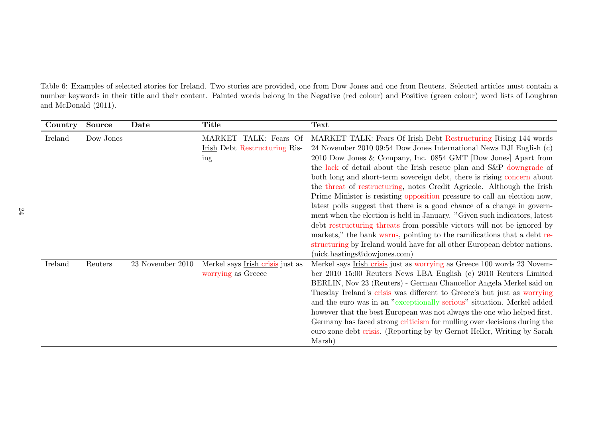Table 6: Examples of selected stories for Ireland. Two stories are provided, one from Dow Jones and one from Reuters. Selected articles must contain a number keywords in their title and their content. Painted words belong in the Negative (red colour) and Positive (green colour) word lists of Loughran and McDonald (2011).

| Country | Source    | Date             | <b>Title</b>                                                  | Text                                                                                                                                                                                                                                                                                                                                                                                                                                                                                                                                                                                                                                                                                                                                                                                                                                                                                                                                      |
|---------|-----------|------------------|---------------------------------------------------------------|-------------------------------------------------------------------------------------------------------------------------------------------------------------------------------------------------------------------------------------------------------------------------------------------------------------------------------------------------------------------------------------------------------------------------------------------------------------------------------------------------------------------------------------------------------------------------------------------------------------------------------------------------------------------------------------------------------------------------------------------------------------------------------------------------------------------------------------------------------------------------------------------------------------------------------------------|
| Ireland | Dow Jones |                  | MARKET TALK: Fears Of<br>Irish Debt Restructuring Ris-<br>ing | MARKET TALK: Fears Of Irish Debt Restructuring Rising 144 words<br>24 November 2010 09:54 Dow Jones International News DJI English (c)<br>2010 Dow Jones & Company, Inc. 0854 GMT [Dow Jones] Apart from<br>the lack of detail about the Irish rescue plan and S&P downgrade of<br>both long and short-term sovereign debt, there is rising concern about<br>the threat of restructuring, notes Credit Agricole. Although the Irish<br>Prime Minister is resisting opposition pressure to call an election now,<br>latest polls suggest that there is a good chance of a change in govern-<br>ment when the election is held in January. "Given such indicators, latest<br>debt restructuring threats from possible victors will not be ignored by<br>markets," the bank warms, pointing to the ramifications that a debt re-<br>structuring by Ireland would have for all other European debtor nations.<br>(nick.hastings@dowjones.com) |
| Ireland | Reuters   | 23 November 2010 | Merkel says Irish crisis just as<br>worrying as Greece        | Merkel says Irish crisis just as worrying as Greece 100 words 23 Novem-<br>ber 2010 15:00 Reuters News LBA English (c) 2010 Reuters Limited<br>BERLIN, Nov 23 (Reuters) - German Chancellor Angela Merkel said on<br>Tuesday Ireland's crisis was different to Greece's but just as worrying<br>and the euro was in an "exceptionally serious" situation. Merkel added<br>however that the best European was not always the one who helped first.<br>Germany has faced strong criticism for mulling over decisions during the<br>euro zone debt crisis. (Reporting by by Gernot Heller, Writing by Sarah<br>Marsh)                                                                                                                                                                                                                                                                                                                        |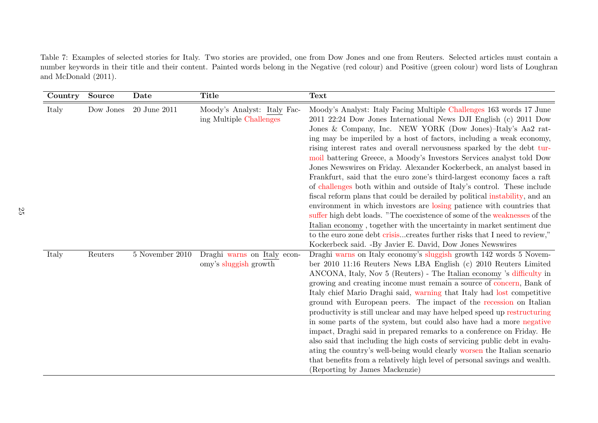Table 7: Examples of selected stories for Italy. Two stories are provided, one from Dow Jones and one from Reuters. Selected articles must contain a number keywords in their title and their content. Painted words belong in the Negative (red colour) and Positive (green colour) word lists of Loughran and McDonald (2011).

| Country | <b>Source</b> | Date              | <b>Title</b>                                           | <b>Text</b>                                                                                                                                                                                                                                                                                                                                                                                                                                                                                                                                                                                                                                                                                                                                                                                                                                                                                                                                                                                                                                                                                                              |
|---------|---------------|-------------------|--------------------------------------------------------|--------------------------------------------------------------------------------------------------------------------------------------------------------------------------------------------------------------------------------------------------------------------------------------------------------------------------------------------------------------------------------------------------------------------------------------------------------------------------------------------------------------------------------------------------------------------------------------------------------------------------------------------------------------------------------------------------------------------------------------------------------------------------------------------------------------------------------------------------------------------------------------------------------------------------------------------------------------------------------------------------------------------------------------------------------------------------------------------------------------------------|
| Italy   | Dow Jones     | 20 June 2011      | Moody's Analyst: Italy Fac-<br>ing Multiple Challenges | Moody's Analyst: Italy Facing Multiple Challenges 163 words 17 June<br>2011 22:24 Dow Jones International News DJI English (c) 2011 Dow<br>Jones & Company, Inc. NEW YORK (Dow Jones)-Italy's Aa2 rat-<br>ing may be imperiled by a host of factors, including a weak economy,<br>rising interest rates and overall nervousness sparked by the debt tur-<br>moil battering Greece, a Moody's Investors Services analyst told Dow<br>Jones Newswires on Friday. Alexander Kockerbeck, an analyst based in<br>Frankfurt, said that the euro zone's third-largest economy faces a raft<br>of challenges both within and outside of Italy's control. These include<br>fiscal reform plans that could be derailed by political instability, and an<br>environment in which investors are losing patience with countries that<br>suffer high debt loads. "The coexistence of some of the weaknesses of the<br>Italian economy, together with the uncertainty in market sentiment due<br>to the euro zone debt crisiscreates further risks that I need to review,"<br>Kockerbeck said. -By Javier E. David, Dow Jones Newswires |
| Italy   | Reuters       | $5$ November 2010 | Draghi warns on Italy econ-<br>omy's sluggish growth   | Draghi warns on Italy economy's sluggish growth 142 words 5 Novem-<br>ber 2010 11:16 Reuters News LBA English (c) 2010 Reuters Limited<br>ANCONA, Italy, Nov 5 (Reuters) - The Italian economy 's difficulty in<br>growing and creating income must remain a source of concern, Bank of<br>Italy chief Mario Draghi said, warning that Italy had lost competitive<br>ground with European peers. The impact of the recession on Italian<br>productivity is still unclear and may have helped speed up restructuring<br>in some parts of the system, but could also have had a more negative<br>impact, Draghi said in prepared remarks to a conference on Friday. He<br>also said that including the high costs of servicing public debt in evalu-<br>ating the country's well-being would clearly worsen the Italian scenario<br>that benefits from a relatively high level of personal savings and wealth.<br>(Reporting by James Mackenzie)                                                                                                                                                                           |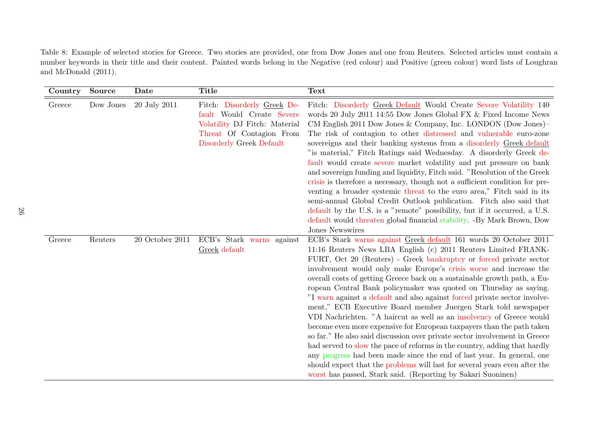Table 8: Example of selected stories for Greece. Two stories are provided, one from Dow Jones and one from Reuters. Selected articles must contain a number keywords in their title and their content. Painted words belong in the Negative (red colour) and Positive (green colour) word lists of Loughran and McDonald (2011).

| Country | <b>Source</b> | Date            | <b>Title</b>                                                                                                                                      | <b>Text</b>                                                                                                                                                                                                                                                                                                                                                                                                                                                                                                                                                                                                                                                                                                                                                                                                                                                                                                                                                                                                                                                                                                         |
|---------|---------------|-----------------|---------------------------------------------------------------------------------------------------------------------------------------------------|---------------------------------------------------------------------------------------------------------------------------------------------------------------------------------------------------------------------------------------------------------------------------------------------------------------------------------------------------------------------------------------------------------------------------------------------------------------------------------------------------------------------------------------------------------------------------------------------------------------------------------------------------------------------------------------------------------------------------------------------------------------------------------------------------------------------------------------------------------------------------------------------------------------------------------------------------------------------------------------------------------------------------------------------------------------------------------------------------------------------|
| Greece  | Dow Jones     | 20 July 2011    | Fitch: Disorderly Greek De-<br>fault Would Create Severe<br>Volatility DJ Fitch: Material<br>Threat Of Contagion From<br>Disorderly Greek Default | Fitch: Disorderly Greek Default Would Create Severe Volatility 140<br>words 20 July 2011 14:55 Dow Jones Global FX & Fixed Income News<br>CM English 2011 Dow Jones & Company, Inc. LONDON (Dow Jones)-<br>The risk of contagion to other distressed and vulnerable euro-zone<br>sovereigns and their banking systems from a disorderly Greek default<br>"is material," Fitch Ratings said Wednesday. A disorderly Greek de-<br>fault would create severe market volatility and put pressure on bank<br>and sovereign funding and liquidity, Fitch said. "Resolution of the Greek<br>crisis is therefore a necessary, though not a sufficient condition for pre-<br>venting a broader systemic threat to the euro area," Fitch said in its<br>semi-annual Global Credit Outlook publication. Fitch also said that<br>default by the U.S. is a "remote" possibility, but if it occurred, a U.S.<br>default would threaten global financial stability. -By Mark Brown, Dow<br>Jones Newswires                                                                                                                         |
| Greece  | Reuters       | 20 October 2011 | ECB's Stark warns against<br>Greek default                                                                                                        | ECB's Stark warns against Greek default 161 words 20 October 2011<br>11:16 Reuters News LBA English (c) 2011 Reuters Limited FRANK-<br>FURT, Oct 20 (Reuters) - Greek bankruptcy or forced private sector<br>involvement would only make Europe's crisis worse and increase the<br>overall costs of getting Greece back on a sustainable growth path, a Eu-<br>ropean Central Bank policymaker was quoted on Thursday as saying.<br>"I warn against a default and also against forced private sector involve-<br>ment," ECB Executive Board member Juergen Stark told newspaper<br>VDI Nachrichten. "A haircut as well as an insolvency of Greece would<br>become even more expensive for European taxpayers than the path taken<br>so far." He also said discussion over private sector involvement in Greece<br>had served to slow the pace of reforms in the country, adding that hardly<br>any progress had been made since the end of last year. In general, one<br>should expect that the problems will last for several years even after the<br>worst has passed, Stark said. (Reporting by Sakari Suoninen) |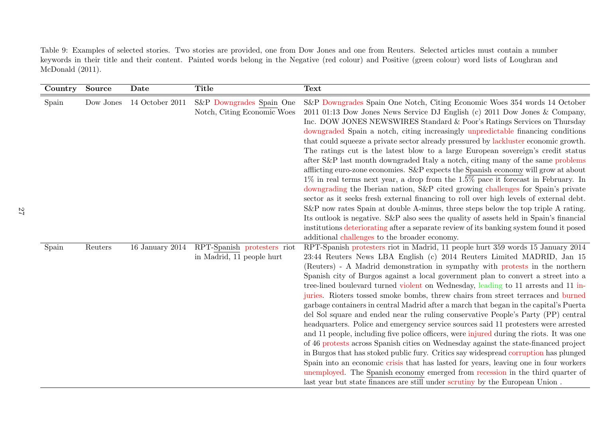Table 9: Examples of selected stories. Two stories are provided, one from Dow Jones and one from Reuters. Selected articles must contain a number keywords in their title and their content. Painted words belong in the Negative (red colour) and Positive (green colour) word lists of Loughran and McDonald (2011).

| Country | <b>Source</b> | Date            | <b>Title</b>                                             | <b>Text</b>                                                                                                                                                                                                                                                                                                                                                                                                                                                                                                                                                                                                                                                                                                                                                                                                                                                                                                                                                                                                                                                                                                                                                                                                                                                                                                         |
|---------|---------------|-----------------|----------------------------------------------------------|---------------------------------------------------------------------------------------------------------------------------------------------------------------------------------------------------------------------------------------------------------------------------------------------------------------------------------------------------------------------------------------------------------------------------------------------------------------------------------------------------------------------------------------------------------------------------------------------------------------------------------------------------------------------------------------------------------------------------------------------------------------------------------------------------------------------------------------------------------------------------------------------------------------------------------------------------------------------------------------------------------------------------------------------------------------------------------------------------------------------------------------------------------------------------------------------------------------------------------------------------------------------------------------------------------------------|
| Spain   | Dow Jones     | 14 October 2011 | S&P Downgrades Spain One<br>Notch, Citing Economic Woes  | S&P Downgrades Spain One Notch, Citing Economic Woes 354 words 14 October<br>2011 01:13 Dow Jones News Service DJ English (c) 2011 Dow Jones & Company,<br>Inc. DOW JONES NEWSWIRES Standard & Poor's Ratings Services on Thursday<br>downgraded Spain a notch, citing increasingly unpredictable financing conditions<br>that could squeeze a private sector already pressured by lackluster economic growth.<br>The ratings cut is the latest blow to a large European sovereign's credit status<br>after S&P last month downgraded Italy a notch, citing many of the same problems<br>afflicting euro-zone economies. S&P expects the Spanish economy will grow at about<br>$1\%$ in real terms next year, a drop from the $1.5\%$ pace it forecast in February. In<br>downgrading the Iberian nation, S&P cited growing challenges for Spain's private<br>sector as it seeks fresh external financing to roll over high levels of external debt.<br>S&P now rates Spain at double A-minus, three steps below the top triple A rating.<br>Its outlook is negative. S&P also sees the quality of assets held in Spain's financial<br>institutions deteriorating after a separate review of its banking system found it posed<br>additional challenges to the broader economy.                                     |
| Spain   | Reuters       | 16 January 2014 | RPT-Spanish protesters riot<br>in Madrid, 11 people hurt | RPT-Spanish protesters riot in Madrid, 11 people hurt 359 words 15 January 2014<br>23:44 Reuters News LBA English (c) 2014 Reuters Limited MADRID, Jan 15<br>(Reuters) - A Madrid demonstration in sympathy with protests in the northern<br>Spanish city of Burgos against a local government plan to convert a street into a<br>tree-lined boulevard turned violent on Wednesday, leading to 11 arrests and 11 in-<br>juries. Rioters tossed smoke bombs, threw chairs from street terraces and burned<br>garbage containers in central Madrid after a march that began in the capital's Puerta<br>del Sol square and ended near the ruling conservative People's Party (PP) central<br>headquarters. Police and emergency service sources said 11 protesters were arrested<br>and 11 people, including five police officers, were injured during the riots. It was one<br>of 46 protests across Spanish cities on Wednesday against the state-financed project<br>in Burgos that has stoked public fury. Critics say widespread corruption has plunged<br>Spain into an economic crisis that has lasted for years, leaving one in four workers<br>unemployed. The Spanish economy emerged from recession in the third quarter of<br>last year but state finances are still under scrutiny by the European Union. |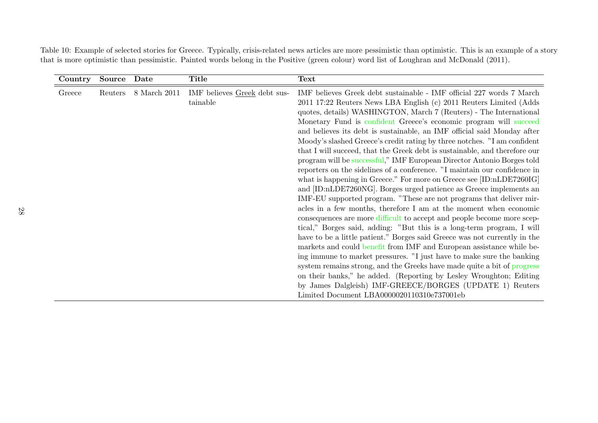Table 10: Example of selected stories for Greece. Typically, crisis-related news articles are more pessimistic than optimistic. This is an example of a story that is more optimistic than pessimistic. Painted words belong in the Positive (green colour) word list of Loughran and McDonald (2011).

| Country | Source  | Date         | <b>Title</b>                             | <b>Text</b>                                                                                                                                                                                                                                                                                                                                                                                                                                                                                                                                                                                                                                                                                                                                                                                                                                                                                                                                                                                                                                                                                                                                                                                                                                                                                                                                                                                                                                                                                                                                                                                                                               |
|---------|---------|--------------|------------------------------------------|-------------------------------------------------------------------------------------------------------------------------------------------------------------------------------------------------------------------------------------------------------------------------------------------------------------------------------------------------------------------------------------------------------------------------------------------------------------------------------------------------------------------------------------------------------------------------------------------------------------------------------------------------------------------------------------------------------------------------------------------------------------------------------------------------------------------------------------------------------------------------------------------------------------------------------------------------------------------------------------------------------------------------------------------------------------------------------------------------------------------------------------------------------------------------------------------------------------------------------------------------------------------------------------------------------------------------------------------------------------------------------------------------------------------------------------------------------------------------------------------------------------------------------------------------------------------------------------------------------------------------------------------|
| Greece  | Reuters | 8 March 2011 | IMF believes Greek debt sus-<br>tainable | $\text{IMF}$ believes Greek debt sustainable - $\text{IMF}$ official 227 words 7 March<br>2011 17:22 Reuters News LBA English (c) 2011 Reuters Limited (Adds<br>quotes, details) WASHINGTON, March 7 (Reuters) - The International<br>Monetary Fund is confident Greece's economic program will succeed<br>and believes its debt is sustainable, an IMF official said Monday after<br>Moody's slashed Greece's credit rating by three notches. "I am confident<br>that I will succeed, that the Greek debt is sustainable, and therefore our<br>program will be successful," IMF European Director Antonio Borges told<br>reporters on the sidelines of a conference. "I maintain our confidence in<br>what is happening in Greece." For more on Greece see [ID:nLDE7260IG]<br>and [ID:nLDE7260NG]. Borges urged patience as Greece implements an<br>IMF-EU supported program. "These are not programs that deliver mir-<br>acles in a few months, therefore I am at the moment when economic<br>consequences are more difficult to accept and people become more scep-<br>tical," Borges said, adding: "But this is a long-term program, I will<br>have to be a little patient." Borges said Greece was not currently in the<br>markets and could benefit from IMF and European assistance while be-<br>ing immune to market pressures. "I just have to make sure the banking<br>system remains strong, and the Greeks have made quite a bit of progress<br>on their banks," he added. (Reporting by Lesley Wroughton; Editing<br>by James Dalgleish) IMF-GREECE/BORGES (UPDATE 1) Reuters<br>Limited Document LBA0000020110310e737001eb |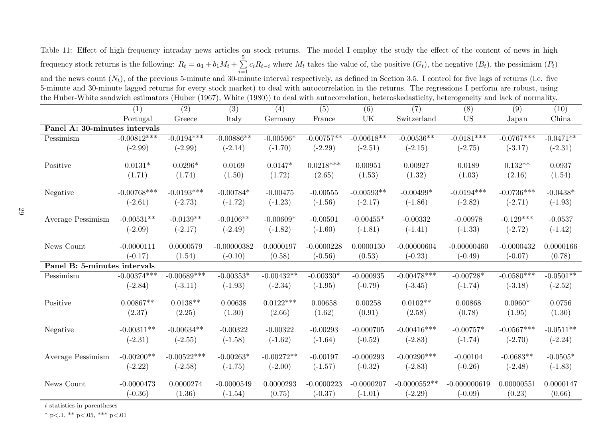Table 11: Effect of high frequency intraday news articles on stock returns. The model I employ the study the effect of the content of news in high frequency stock returns is the following:  $R_t = a_1 + b_1 M_t + \sum$ 5  $\sum_{i=1}$  $c_iR_{t-i}$  where  $M_t$  takes the value of, the positive  $(G_t)$ , the negative  $(B_t)$ , the pessimism  $(P_t)$ and the news count  $(N_t)$ , of the previous 5-minute and 30-minute interval respectively, as defined in Section 3.5. I control for five lags of returns (i.e. five 5-minute and 30-minute lagged returns for every stock market) to deal with autocorrelation in the returns. The regressions I perform are robust, using the Huber-White sandwich estimators (Huber (1967), White (1980)) to deal with autocorrelation, heteroskedasticity, heterogeneity and lack of normality.

|                                                                                                                                                                                                                                      | (1)                           | (2)           | (3)           | (4)          | (5)          | (6)          | (7)            | (8)            | (9)          | (10)        |  |
|--------------------------------------------------------------------------------------------------------------------------------------------------------------------------------------------------------------------------------------|-------------------------------|---------------|---------------|--------------|--------------|--------------|----------------|----------------|--------------|-------------|--|
|                                                                                                                                                                                                                                      | Portugal                      | Greece        | Italy         | Germany      | France       | UK           | Switzerland    | <b>US</b>      | Japan        | China       |  |
|                                                                                                                                                                                                                                      | Panel A: 30-minutes intervals |               |               |              |              |              |                |                |              |             |  |
| Pessimism                                                                                                                                                                                                                            | $-0.00812***$                 | $-0.0194***$  | $-0.00886**$  | $-0.00596*$  | $-0.00757**$ | $-0.00618**$ | $-0.00536**$   | $-0.0181***$   | $-0.0767***$ | $-0.0471**$ |  |
|                                                                                                                                                                                                                                      | $(-2.99)$                     | $(-2.99)$     | $(-2.14)$     | $(-1.70)$    | $(-2.29)$    | $(-2.51)$    | $(-2.15)$      | $(-2.75)$      | $(-3.17)$    | $(-2.31)$   |  |
| Positive                                                                                                                                                                                                                             | $0.0131*$                     | $0.0296*$     | 0.0169        | $0.0147*$    | $0.0218***$  | 0.00951      | 0.00927        | 0.0189         | $0.132**$    | 0.0937      |  |
|                                                                                                                                                                                                                                      | (1.71)                        | (1.74)        | (1.50)        | (1.72)       | (2.65)       | (1.53)       | (1.32)         | (1.03)         | (2.16)       | (1.54)      |  |
| Negative                                                                                                                                                                                                                             | $-0.00768***$                 | $-0.0193***$  | $-0.00784*$   | $-0.00475$   | $-0.00555$   | $-0.00593**$ | $-0.00499*$    | $-0.0194***$   | $-0.0736***$ | $-0.0438*$  |  |
|                                                                                                                                                                                                                                      | $(-2.61)$                     | $(-2.73)$     | $(-1.72)$     | $(-1.23)$    | $(-1.56)$    | $(-2.17)$    | $(-1.86)$      | $(-2.82)$      | $(-2.71)$    | $(-1.93)$   |  |
| Average Pessimism                                                                                                                                                                                                                    | $-0.00531**$                  | $-0.0139**$   | $-0.0106**$   | $-0.00609*$  | $-0.00501$   | $-0.00455*$  | $-0.00332$     | $-0.00978$     | $-0.129***$  | $-0.0537$   |  |
|                                                                                                                                                                                                                                      | $(-2.09)$                     | $(-2.17)$     | $(-2.49)$     | $(-1.82)$    | $(-1.60)$    | $(-1.81)$    | $(-1.41)$      | $(-1.33)$      | $(-2.72)$    | $(-1.42)$   |  |
| News Count                                                                                                                                                                                                                           | $-0.0000111$                  | 0.0000579     | $-0.00000382$ | 0.0000197    | $-0.0000228$ | 0.0000130    | $-0.00000604$  | $-0.00000460$  | $-0.0000432$ | 0.0000166   |  |
|                                                                                                                                                                                                                                      | $(-0.17)$                     | (1.54)        | $(-0.10)$     | (0.58)       | $(-0.56)$    | (0.53)       | $(-0.23)$      | $(-0.49)$      | $(-0.07)$    | (0.78)      |  |
| Panel B: 5-minutes intervals                                                                                                                                                                                                         |                               |               |               |              |              |              |                |                |              |             |  |
| Pessimism                                                                                                                                                                                                                            | $-0.00374***$                 | $-0.00689***$ | $-0.00353*$   | $-0.00432**$ | $-0.00330*$  | $-0.000935$  | $-0.00478***$  | $-0.00728*$    | $-0.0580***$ | $-0.0501**$ |  |
|                                                                                                                                                                                                                                      | $(-2.84)$                     | $(-3.11)$     | $(-1.93)$     | $(-2.34)$    | $(-1.95)$    | $(-0.79)$    | $(-3.45)$      | $(-1.74)$      | $(-3.18)$    | $(-2.52)$   |  |
| Positive                                                                                                                                                                                                                             | $0.00867**$                   | $0.0138**$    | 0.00638       | $0.0122***$  | 0.00658      | 0.00258      | $0.0102**$     | 0.00868        | $0.0960*$    | 0.0756      |  |
|                                                                                                                                                                                                                                      | (2.37)                        | (2.25)        | (1.30)        | (2.66)       | (1.62)       | (0.91)       | (2.58)         | (0.78)         | (1.95)       | (1.30)      |  |
| Negative                                                                                                                                                                                                                             | $-0.00311**$                  | $-0.00634**$  | $-0.00322$    | $-0.00322$   | $-0.00293$   | $-0.000705$  | $-0.00416***$  | $-0.00757*$    | $-0.0567***$ | $-0.0511**$ |  |
|                                                                                                                                                                                                                                      | $(-2.31)$                     | $(-2.55)$     | $(-1.58)$     | $(-1.62)$    | $(-1.64)$    | $(-0.52)$    | $(-2.83)$      | $(-1.74)$      | $(-2.70)$    | $(-2.24)$   |  |
| Average Pessimism                                                                                                                                                                                                                    | $-0.00200**$                  | $-0.00522***$ | $-0.00263*$   | $-0.00272**$ | $-0.00197$   | $-0.000293$  | $-0.00290***$  | $-0.00104$     | $-0.0683**$  | $-0.0505*$  |  |
|                                                                                                                                                                                                                                      | $(-2.22)$                     | $(-2.58)$     | $(-1.75)$     | $(-2.00)$    | $(-1.57)$    | $(-0.32)$    | $(-2.83)$      | $(-0.26)$      | $(-2.48)$    | $(-1.83)$   |  |
| News Count                                                                                                                                                                                                                           | $-0.0000473$                  | 0.0000274     | $-0.0000549$  | 0.0000293    | $-0.0000223$ | $-0.0000207$ | $-0.0000552**$ | $-0.000000619$ | 0.00000551   | 0.0000147   |  |
|                                                                                                                                                                                                                                      | $(-0.36)$                     | (1.36)        | $(-1.54)$     | (0.75)       | $(-0.37)$    | $(-1.01)$    | $(-2.29)$      | $(-0.09)$      | (0.23)       | (0.66)      |  |
| $\mathbf{z}$ and $\mathbf{z}$ are defined by the set of the set of the set of the set of the set of the set of the set of the set of the set of the set of the set of the set of the set of the set of the set of the set of the set |                               |               |               |              |              |              |                |                |              |             |  |

\* p<.1, \*\* p<.05, \*\*\* p<.01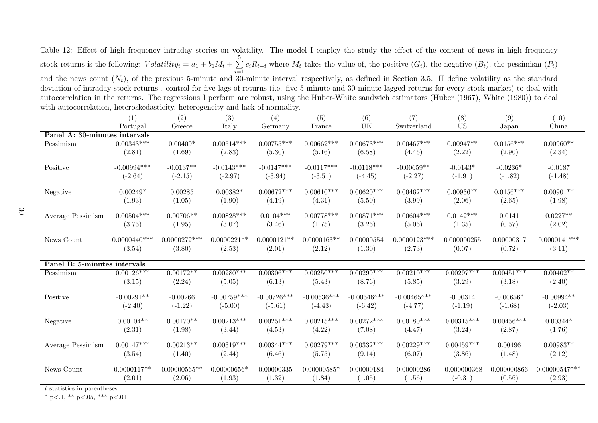Table 12: Effect of high frequency intraday stories on volatility. The model I employ the study the effect of the content of news in high frequency stock returns is the following:  $Volatility_t = a_1 + b_1M_t + \sum$ 5  $\sum_{i=1}$  $c_iR_{t-i}$  where  $M_t$  takes the value of, the positive  $(G_t)$ , the negative  $(B_t)$ , the pessimism  $(P_t)$ and the news count  $(N_t)$ , of the previous 5-minute and 30-minute interval respectively, as defined in Section 3.5. II define volatility as the standard deviation of intraday stock returns.. control for five lags of returns (i.e. five 5-minute and 30-minute lagged returns for every stock market) to deal with autocorrelation in the returns. The regressions I perform are robust, using the Huber-White sandwich estimators (Huber (1967), White (1980)) to deal with autocorrelation, heteroskedasticity, heterogeneity and lack of normality.

|                                          | (1)            | $\overline{(2)}$ | (3)           | (4)           | (5)           | (6)           | (7)            | (8)            | (9)          | (10)            |
|------------------------------------------|----------------|------------------|---------------|---------------|---------------|---------------|----------------|----------------|--------------|-----------------|
|                                          | Portugal       | Greece           | Italy         | Germany       | France        | UK            | Switzerland    | <b>US</b>      | Japan        | China           |
| Panel A: 30-minutes intervals            |                |                  |               |               |               |               |                |                |              |                 |
| Pessimism                                | $0.00343***$   | $0.00409*$       | $0.00514***$  | $0.00755***$  | $0.00662***$  | $0.00673***$  | $0.00467***$   | $0.00947**$    | $0.0156***$  | $0.00960**$     |
|                                          | (2.81)         | (1.69)           | (2.83)        | (5.30)        | (5.16)        | (6.58)        | (4.46)         | (2.22)         | (2.90)       | (2.34)          |
|                                          |                |                  |               |               |               |               |                |                |              |                 |
| Positive                                 | $-0.00994***$  | $-0.0137**$      | $-0.0143***$  | $-0.0147***$  | $-0.0117***$  | $-0.0118***$  | $-0.00659**$   | $-0.0143*$     | $-0.0236*$   | $-0.0187$       |
|                                          | $(-2.64)$      | $(-2.15)$        | $(-2.97)$     | $(-3.94)$     | $(-3.51)$     | $(-4.45)$     | $(-2.27)$      | $(-1.91)$      | $(-1.82)$    | $(-1.48)$       |
| Negative                                 | $0.00249*$     | 0.00285          | $0.00382*$    | $0.00672***$  | $0.00610***$  | $0.00620***$  | $0.00462***$   | $0.00936**$    | $0.0156***$  | $0.00901**$     |
|                                          | (1.93)         | (1.05)           | (1.90)        | (4.19)        | (4.31)        | (5.50)        | (3.99)         | (2.06)         | (2.65)       | (1.98)          |
| Average Pessimism                        | $0.00504***$   | $0.00706**$      | $0.00828***$  | $0.0104***$   | $0.00778***$  | $0.00871***$  | $0.00604***$   | $0.0142***$    | 0.0141       | $0.0227**$      |
|                                          | (3.75)         | (1.95)           | (3.07)        | (3.46)        | (1.75)        | (3.26)        | (5.06)         | (1.35)         | (0.57)       | (2.02)          |
| News Count                               | $0.0000440***$ | $0.0000272***$   | $0.0000221**$ | $0.0000121**$ | $0.0000163**$ | 0.00000554    | $0.0000123***$ | 0.000000255    | 0.00000317   | $0.0000141***$  |
|                                          | (3.54)         | (3.80)           | (2.53)        | (2.01)        | (2.12)        | (1.30)        | (2.73)         | (0.07)         | (0.72)       | (3.11)          |
|                                          |                |                  |               |               |               |               |                |                |              |                 |
| Panel B: 5-minutes intervals             |                |                  |               |               |               |               |                |                |              |                 |
| Pessimism                                | $0.00126***$   | $0.00172**$      | $0.00280***$  | $0.00306***$  | $0.00250***$  | $0.00299***$  | $0.00210***$   | $0.00297***$   | $0.00451***$ | $0.00402**$     |
|                                          | (3.15)         | (2.24)           | (5.05)        | (6.13)        | (5.43)        | (8.76)        | (5.85)         | (3.29)         | (3.18)       | (2.40)          |
| Positive                                 | $-0.00291**$   | $-0.00266$       | $-0.00759***$ | $-0.00726***$ | $-0.00536***$ | $-0.00546***$ | $-0.00465***$  | $-0.00314$     | $-0.00656*$  | $-0.00994**$    |
|                                          | $(-2.40)$      | $(-1.22)$        | $(-5.00)$     | $(-5.61)$     | $(-4.43)$     | $(-6.42)$     | $(-4.77)$      | $(-1.19)$      | $(-1.68)$    | $(-2.03)$       |
|                                          |                |                  |               |               |               |               |                |                |              |                 |
| Negative                                 | $0.00104**$    | $0.00170**$      | $0.00213***$  | $0.00251***$  | $0.00215***$  | $0.00272***$  | $0.00180***$   | $0.00315***$   | $0.00456***$ | $0.00344*$      |
|                                          | (2.31)         | (1.98)           | (3.44)        | (4.53)        | (4.22)        | (7.08)        | (4.47)         | (3.24)         | (2.87)       | (1.76)          |
|                                          |                |                  |               |               |               |               |                |                |              |                 |
| Average Pessimism                        | $0.00147***$   | $0.00213**$      | $0.00319***$  | $0.00344***$  | $0.00279***$  | $0.00332***$  | $0.00229***$   | $0.00459***$   | 0.00496      | $0.00983**$     |
|                                          | (3.54)         | (1.40)           | (2.44)        | (6.46)        | (5.75)        | (9.14)        | (6.07)         | (3.86)         | (1.48)       | (2.12)          |
|                                          |                |                  |               |               |               |               |                |                |              |                 |
| News Count                               | $0.0000117**$  | $0.00000565**$   | $0.00000656*$ | 0.00000335    | $0.00000585*$ | 0.00000184    | 0.00000286     | $-0.000000368$ | 0.000000866  | $0.00000547***$ |
| $\frac{1}{2}$ . The set of $\frac{1}{2}$ | (2.01)         | (2.06)           | (1.93)        | (1.32)        | (1.84)        | (1.05)        | (1.56)         | $(-0.31)$      | (0.56)       | (2.93)          |

t statistics in parentheses

\* p $< 1$ , \*\* p $< 0.05$ , \*\*\* p $< 0.01$